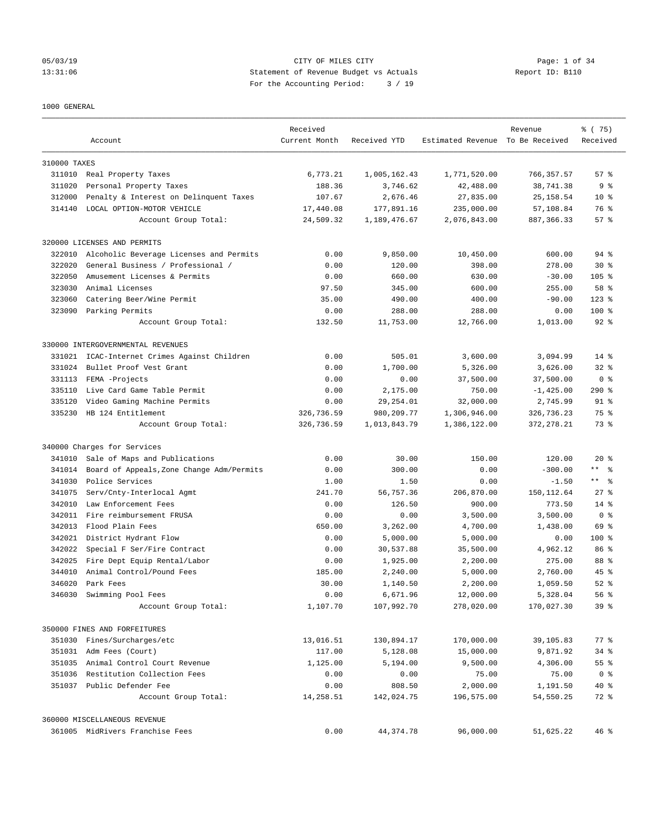# 05/03/19 CITY OF MILES CITY Page: 1 of 34 13:31:06 Statement of Revenue Budget vs Actuals Report ID: B110 For the Accounting Period: 3 / 19

#### 1000 GENERAL

|              | Account                                   | Received<br>Current Month | Received YTD | Estimated Revenue To Be Received | Revenue     | % (75)<br>Received      |
|--------------|-------------------------------------------|---------------------------|--------------|----------------------------------|-------------|-------------------------|
| 310000 TAXES |                                           |                           |              |                                  |             |                         |
|              | 311010 Real Property Taxes                | 6,773.21                  | 1,005,162.43 | 1,771,520.00                     | 766, 357.57 | 57%                     |
| 311020       | Personal Property Taxes                   | 188.36                    | 3,746.62     | 42,488.00                        | 38,741.38   | 9 <sup>8</sup>          |
| 312000       | Penalty & Interest on Delinquent Taxes    | 107.67                    | 2,676.46     | 27,835.00                        | 25, 158.54  | $10*$                   |
| 314140       | LOCAL OPTION-MOTOR VEHICLE                | 17,440.08                 | 177,891.16   | 235,000.00                       | 57,108.84   | 76 %                    |
|              | Account Group Total:                      | 24,509.32                 | 1,189,476.67 | 2,076,843.00                     | 887, 366.33 | 57%                     |
|              | 320000 LICENSES AND PERMITS               |                           |              |                                  |             |                         |
| 322010       | Alcoholic Beverage Licenses and Permits   | 0.00                      | 9,850.00     | 10,450.00                        | 600.00      | 94 %                    |
| 322020       | General Business / Professional /         | 0.00                      | 120.00       | 398.00                           | 278.00      | $30*$                   |
| 322050       | Amusement Licenses & Permits              | 0.00                      | 660.00       | 630.00                           | $-30.00$    | $105$ %                 |
| 323030       | Animal Licenses                           | 97.50                     | 345.00       | 600.00                           | 255.00      | 58 %                    |
| 323060       | Catering Beer/Wine Permit                 | 35.00                     | 490.00       | 400.00                           | $-90.00$    | $123$ %                 |
|              | 323090 Parking Permits                    | 0.00                      | 288.00       | 288.00                           | 0.00        | $100$ %                 |
|              | Account Group Total:                      | 132.50                    | 11,753.00    | 12,766.00                        | 1,013.00    | $92$ $%$                |
|              | 330000 INTERGOVERNMENTAL REVENUES         |                           |              |                                  |             |                         |
| 331021       | ICAC-Internet Crimes Against Children     | 0.00                      | 505.01       | 3,600.00                         | 3,094.99    | $14*$                   |
| 331024       | Bullet Proof Vest Grant                   | 0.00                      | 1,700.00     | 5,326.00                         | 3,626.00    | $32*$                   |
| 331113       | FEMA -Projects                            | 0.00                      | 0.00         | 37,500.00                        | 37,500.00   | 0 <sup>8</sup>          |
| 335110       | Live Card Game Table Permit               | 0.00                      | 2,175.00     | 750.00                           | $-1,425.00$ | 290%                    |
| 335120       | Video Gaming Machine Permits              | 0.00                      | 29, 254.01   | 32,000.00                        | 2,745.99    | 91 %                    |
| 335230       | HB 124 Entitlement                        | 326,736.59                | 980, 209. 77 | 1,306,946.00                     | 326,736.23  | 75 %                    |
|              | Account Group Total:                      | 326,736.59                | 1,013,843.79 | 1,386,122.00                     | 372, 278.21 | 73 %                    |
|              | 340000 Charges for Services               |                           |              |                                  |             |                         |
| 341010       | Sale of Maps and Publications             | 0.00                      | 30.00        | 150.00                           | 120.00      | $20*$                   |
| 341014       | Board of Appeals, Zone Change Adm/Permits | 0.00                      | 300.00       | 0.00                             | $-300.00$   | $***$ $ -$              |
| 341030       | Police Services                           | 1.00                      | 1.50         | 0.00                             | $-1.50$     | $***$ $=$ $\frac{6}{5}$ |
| 341075       | Serv/Cnty-Interlocal Agmt                 | 241.70                    | 56,757.36    | 206,870.00                       | 150, 112.64 | $27$ %                  |
| 342010       | Law Enforcement Fees                      | 0.00                      | 126.50       | 900.00                           | 773.50      | $14*$                   |
|              | 342011 Fire reimbursement FRUSA           | 0.00                      | 0.00         | 3,500.00                         | 3,500.00    | 0 <sup>8</sup>          |
| 342013       | Flood Plain Fees                          | 650.00                    | 3,262.00     | 4,700.00                         | 1,438.00    | 69 %                    |
|              | 342021 District Hydrant Flow              | 0.00                      | 5,000.00     | 5,000.00                         | 0.00        | $100$ %                 |
| 342022       | Special F Ser/Fire Contract               | 0.00                      | 30,537.88    | 35,500.00                        | 4,962.12    | 86 %                    |
| 342025       | Fire Dept Equip Rental/Labor              | 0.00                      | 1,925.00     | 2,200.00                         | 275.00      | 88 %                    |
| 344010       | Animal Control/Pound Fees                 | 185.00                    | 2,240.00     | 5,000.00                         | 2,760.00    | $45$ $%$                |
| 346020       | Park Fees                                 | 30.00                     | 1,140.50     | 2,200.00                         | 1,059.50    | $52$ $%$                |
| 346030       | Swimming Pool Fees                        | 0.00                      | 6,671.96     | 12,000.00                        | 5,328.04    | 56 %                    |
|              | Account Group Total:                      | 1,107.70                  | 107,992.70   | 278,020.00                       | 170,027.30  | 39 <sup>8</sup>         |
|              | 350000 FINES AND FORFEITURES              |                           |              |                                  |             |                         |
|              | 351030 Fines/Surcharges/etc               | 13,016.51                 | 130,894.17   | 170,000.00                       | 39,105.83   | $77$ $%$                |
|              | 351031 Adm Fees (Court)                   | 117.00                    | 5,128.08     | 15,000.00                        | 9,871.92    | $34$ $%$                |
|              | 351035 Animal Control Court Revenue       | 1,125.00                  | 5,194.00     | 9,500.00                         | 4,306.00    | $55$ $\frac{6}{5}$      |
| 351036       | Restitution Collection Fees               | 0.00                      | 0.00         | 75.00                            | 75.00       | 0 <sup>8</sup>          |
|              | 351037 Public Defender Fee                | 0.00                      | 808.50       | 2,000.00                         | 1,191.50    | 40 %                    |
|              | Account Group Total:                      | 14,258.51                 | 142,024.75   | 196,575.00                       | 54,550.25   | 72 %                    |
|              | 360000 MISCELLANEOUS REVENUE              |                           |              |                                  |             |                         |
|              | 361005 MidRivers Franchise Fees           | 0.00                      | 44, 374. 78  | 96,000.00                        | 51,625.22   | 46%                     |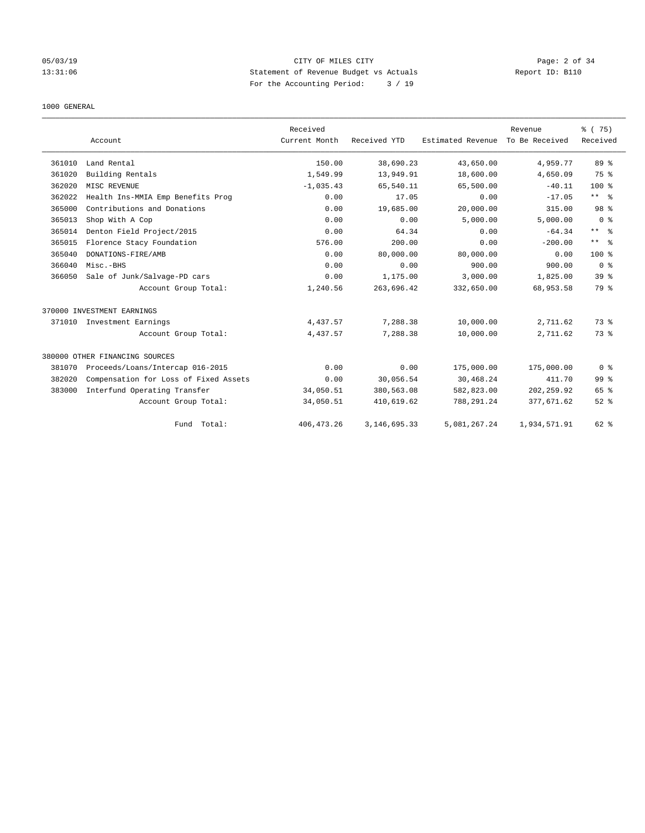# 05/03/19 CITY OF MILES CITY Page: 2 of 34 13:31:06 Statement of Revenue Budget vs Actuals Report ID: B110 For the Accounting Period: 3 / 19

#### 1000 GENERAL

|        |                                       | Received      |                 |                   | Revenue        | % (75)              |
|--------|---------------------------------------|---------------|-----------------|-------------------|----------------|---------------------|
|        | Account                               | Current Month | Received YTD    | Estimated Revenue | To Be Received | Received            |
| 361010 | Land Rental                           | 150.00        | 38,690.23       | 43,650.00         | 4,959.77       | 89 %                |
| 361020 | Building Rentals                      | 1,549.99      | 13,949.91       | 18,600.00         | 4,650.09       | 75 %                |
| 362020 | MISC REVENUE                          | $-1,035.43$   | 65,540.11       | 65,500.00         | $-40.11$       | $100*$              |
| 362022 | Health Ins-MMIA Emp Benefits Prog     | 0.00          | 17.05           | 0.00              | $-17.05$       | $***$ $\frac{6}{5}$ |
| 365000 | Contributions and Donations           | 0.00          | 19,685.00       | 20,000.00         | 315.00         | 98 %                |
| 365013 | Shop With A Cop                       | 0.00          | 0.00            | 5,000.00          | 5,000.00       | 0 <sup>8</sup>      |
| 365014 | Denton Field Project/2015             | 0.00          | 64.34           | 0.00              | $-64.34$       | $***$ $=$           |
| 365015 | Florence Stacy Foundation             | 576.00        | 200.00          | 0.00              | $-200.00$      | $***$ $ -$          |
| 365040 | DONATIONS-FIRE/AMB                    | 0.00          | 80,000.00       | 80,000.00         | 0.00           | $100*$              |
| 366040 | Misc.-BHS                             | 0.00          | 0.00            | 900.00            | 900.00         | 0 <sup>8</sup>      |
| 366050 | Sale of Junk/Salvage-PD cars          | 0.00          | 1,175.00        | 3,000.00          | 1,825.00       | 39 <sup>8</sup>     |
|        | Account Group Total:                  | 1,240.56      | 263,696.42      | 332,650.00        | 68,953.58      | 79 %                |
|        | 370000 INVESTMENT EARNINGS            |               |                 |                   |                |                     |
| 371010 | Investment Earnings                   | 4,437.57      | 7,288.38        | 10,000.00         | 2,711.62       | 73.8                |
|        | Account Group Total:                  | 4,437.57      | 7,288.38        | 10,000.00         | 2,711.62       | 73.8                |
|        | 380000 OTHER FINANCING SOURCES        |               |                 |                   |                |                     |
| 381070 | Proceeds/Loans/Intercap 016-2015      | 0.00          | 0.00            | 175,000.00        | 175,000.00     | 0 <sup>8</sup>      |
| 382020 | Compensation for Loss of Fixed Assets | 0.00          | 30,056.54       | 30,468.24         | 411.70         | 99 %                |
| 383000 | Interfund Operating Transfer          | 34,050.51     | 380,563.08      | 582,823.00        | 202, 259.92    | 65 %                |
|        | Account Group Total:                  | 34,050.51     | 410,619.62      | 788, 291.24       | 377,671.62     | $52$ $%$            |
|        | Fund Total:                           | 406, 473.26   | 3, 146, 695. 33 | 5,081,267.24      | 1,934,571.91   | 62 %                |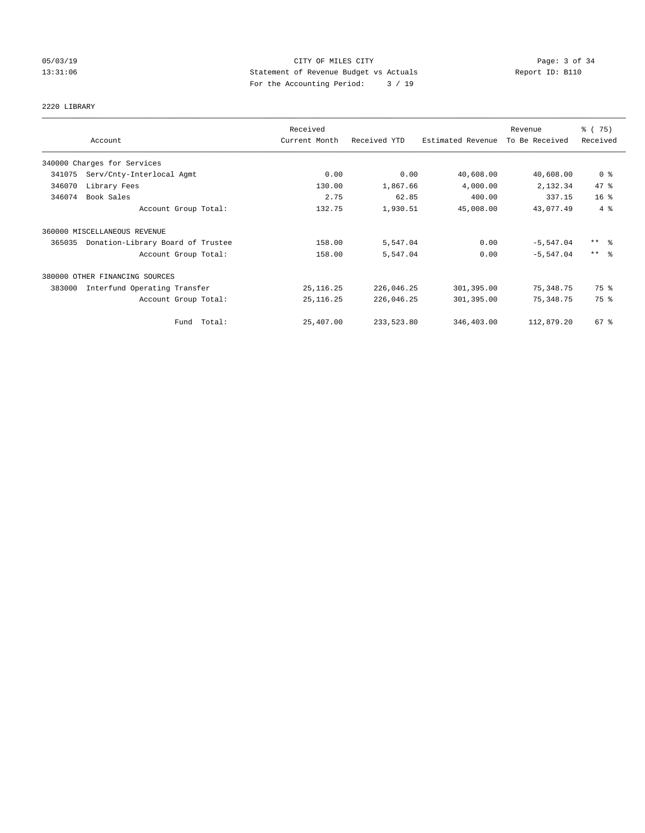# 05/03/19 CITY OF MILES CITY Page: 3 of 34 13:31:06 Statement of Revenue Budget vs Actuals Report ID: B110 For the Accounting Period: 3 / 19

#### 2220 LIBRARY

|        |                                   | Received      |              |                   | Revenue        | % (75)              |
|--------|-----------------------------------|---------------|--------------|-------------------|----------------|---------------------|
|        | Account                           | Current Month | Received YTD | Estimated Revenue | To Be Received | Received            |
|        | 340000 Charges for Services       |               |              |                   |                |                     |
| 341075 | Serv/Cnty-Interlocal Agmt         | 0.00          | 0.00         | 40,608.00         | 40,608.00      | 0 <sup>8</sup>      |
| 346070 | Library Fees                      | 130.00        | 1,867.66     | 4,000.00          | 2,132.34       | 47 %                |
| 346074 | Book Sales                        | 2.75          | 62.85        | 400.00            | 337.15         | 16 <sup>°</sup>     |
|        | Account Group Total:              | 132.75        | 1,930.51     | 45,008.00         | 43,077.49      | 4%                  |
|        | 360000 MISCELLANEOUS REVENUE      |               |              |                   |                |                     |
| 365035 | Donation-Library Board of Trustee | 158.00        | 5,547.04     | 0.00              | $-5,547.04$    | $***$ $\frac{6}{5}$ |
|        | Account Group Total:              | 158.00        | 5,547.04     | 0.00              | $-5, 547.04$   | $***$ $\frac{6}{5}$ |
|        | 380000 OTHER FINANCING SOURCES    |               |              |                   |                |                     |
| 383000 | Interfund Operating Transfer      | 25, 116.25    | 226,046.25   | 301,395.00        | 75,348.75      | 75 %                |
|        | Account Group Total:              | 25, 116.25    | 226,046.25   | 301,395.00        | 75,348.75      | 75 %                |
|        | Fund Total:                       | 25,407.00     | 233,523.80   | 346,403.00        | 112,879.20     | $67$ %              |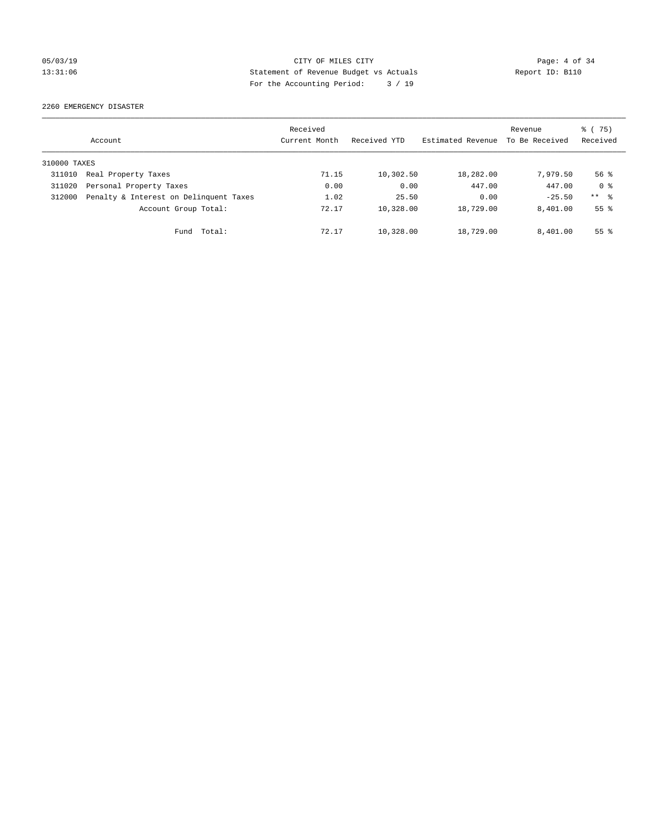# 05/03/19 CITY OF MILES CITY Page: 4 of 34 13:31:06 Statement of Revenue Budget vs Actuals Report ID: B110 For the Accounting Period: 3 / 19

2260 EMERGENCY DISASTER

|              | Account                                | Received<br>Current Month | Received YTD | Estimated Revenue | Revenue<br>To Be Received | % (75)<br>Received |
|--------------|----------------------------------------|---------------------------|--------------|-------------------|---------------------------|--------------------|
| 310000 TAXES |                                        |                           |              |                   |                           |                    |
| 311010       | Real Property Taxes                    | 71.15                     | 10,302.50    | 18,282.00         | 7.979.50                  | $56$ $\frac{6}{3}$ |
| 311020       | Personal Property Taxes                | 0.00                      | 0.00         | 447.00            | 447.00                    | 0 <sup>8</sup>     |
| 312000       | Penalty & Interest on Delinquent Taxes | 1.02                      | 25.50        | 0.00              | $-25.50$                  | $***$ $ -$         |
|              | Account Group Total:                   | 72.17                     | 10,328.00    | 18,729.00         | 8,401.00                  | 55 <sup>8</sup>    |
|              | Total:<br>Fund                         | 72.17                     | 10,328.00    | 18,729.00         | 8.401.00                  | 55 <sup>8</sup>    |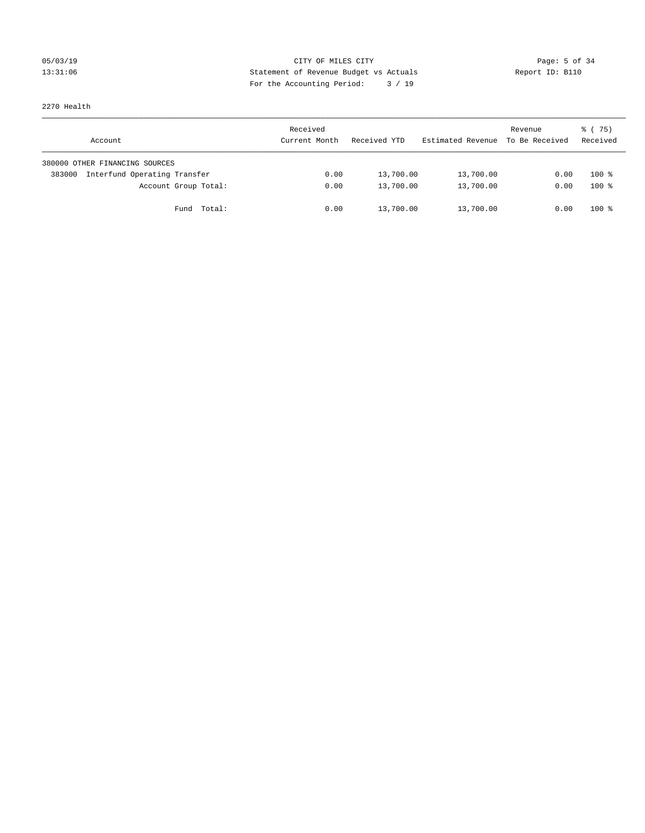# 05/03/19 Page: 5 of 34 13:31:06 Statement of Revenue Budget vs Actuals Report ID: B110 For the Accounting Period: 3 / 19

2270 Health

| Account                                | Received<br>Current Month | Received YTD | Estimated Revenue | Revenue<br>To Be Received | 8 (75)<br>Received |
|----------------------------------------|---------------------------|--------------|-------------------|---------------------------|--------------------|
| 380000 OTHER FINANCING SOURCES         |                           |              |                   |                           |                    |
| Interfund Operating Transfer<br>383000 | 0.00                      | 13,700.00    | 13,700.00         | 0.00                      | $100*$             |
| Account Group Total:                   | 0.00                      | 13,700.00    | 13,700.00         | 0.00                      | $100*$             |
| Fund Total:                            | 0.00                      | 13,700.00    | 13,700.00         | 0.00                      | $100*$             |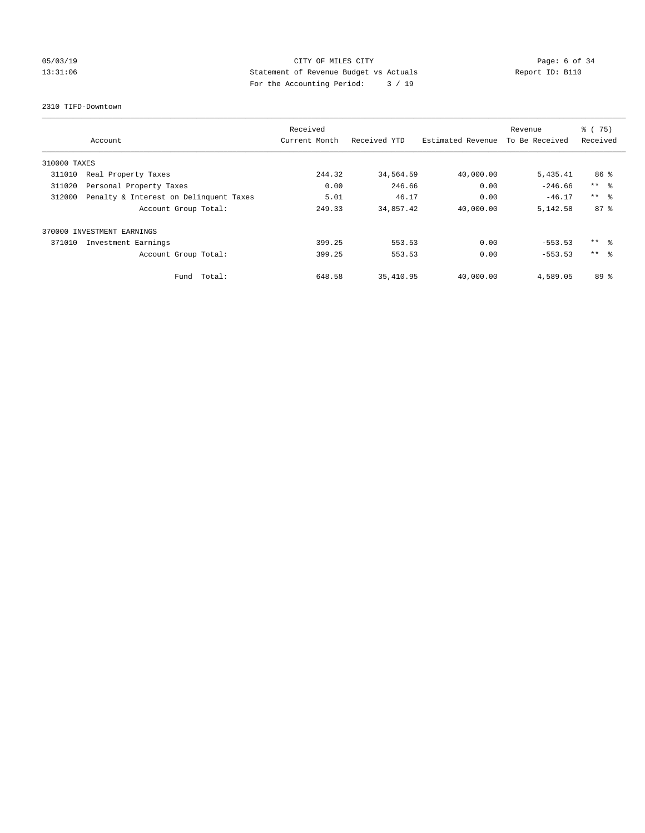# 05/03/19 CITY OF MILES CITY Page: 6 of 34 13:31:06 Statement of Revenue Budget vs Actuals Report ID: B110 For the Accounting Period: 3 / 19

#### 2310 TIFD-Downtown

|              |                                        | Received      |              |                   | Revenue        | % (75)          |
|--------------|----------------------------------------|---------------|--------------|-------------------|----------------|-----------------|
|              | Account                                | Current Month | Received YTD | Estimated Revenue | To Be Received | Received        |
| 310000 TAXES |                                        |               |              |                   |                |                 |
| 311010       | Real Property Taxes                    | 244.32        | 34,564.59    | 40,000.00         | 5,435.41       | 86 %            |
| 311020       | Personal Property Taxes                | 0.00          | 246.66       | 0.00              | $-246.66$      | $***$ $ -$      |
| 312000       | Penalty & Interest on Delinquent Taxes | 5.01          | 46.17        | 0.00              | $-46.17$       | $***$ $\approx$ |
|              | Account Group Total:                   | 249.33        | 34,857.42    | 40,000.00         | 5,142.58       | 87 <sup>8</sup> |
|              | 370000 INVESTMENT EARNINGS             |               |              |                   |                |                 |
| 371010       | Investment Earnings                    | 399.25        | 553.53       | 0.00              | $-553.53$      | ** 왕            |
|              | Account Group Total:                   | 399.25        | 553.53       | 0.00              | $-553.53$      | $***$ $\approx$ |
|              | Total:<br>Fund                         | 648.58        | 35,410.95    | 40,000.00         | 4,589.05       | $89*$           |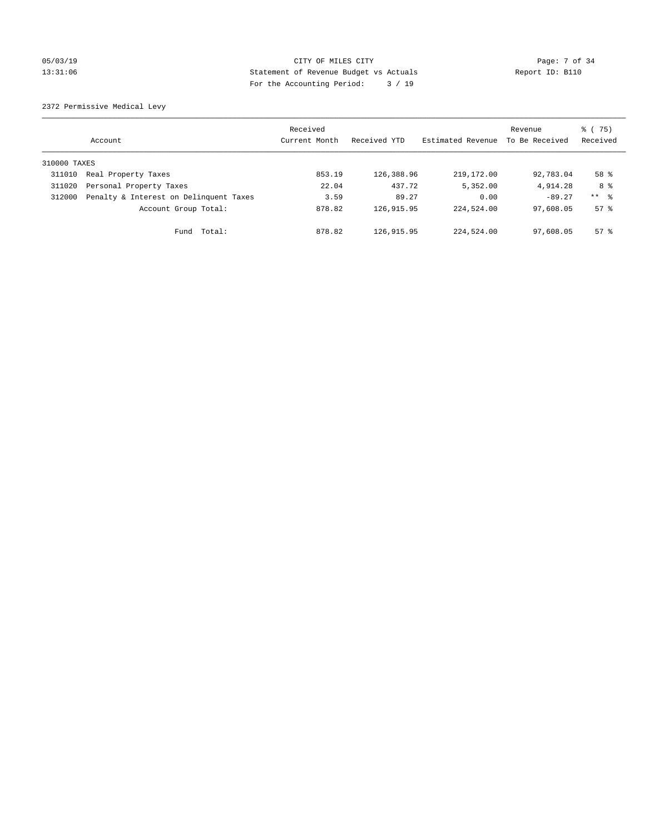#### 05/03/19 Page: 7 of 34 13:31:06 Statement of Revenue Budget vs Actuals Report ID: B110 For the Accounting Period: 3 / 19

2372 Permissive Medical Levy

|              | Account                                | Received<br>Current Month | Received YTD | Estimated Revenue | Revenue<br>To Be Received | % (75)<br>Received  |
|--------------|----------------------------------------|---------------------------|--------------|-------------------|---------------------------|---------------------|
| 310000 TAXES |                                        |                           |              |                   |                           |                     |
| 311010       | Real Property Taxes                    | 853.19                    | 126,388.96   | 219, 172, 00      | 92,783.04                 | 58 %                |
| 311020       | Personal Property Taxes                | 22.04                     | 437.72       | 5,352.00          | 4,914.28                  | 8 %                 |
| 312000       | Penalty & Interest on Delinquent Taxes | 3.59                      | 89.27        | 0.00              | $-89.27$                  | $***$ $\frac{6}{5}$ |
|              | Account Group Total:                   | 878.82                    | 126, 915.95  | 224,524.00        | 97,608.05                 | $57*$               |
|              | Total:<br>Fund                         | 878.82                    | 126, 915.95  | 224,524.00        | 97,608.05                 | $57*$               |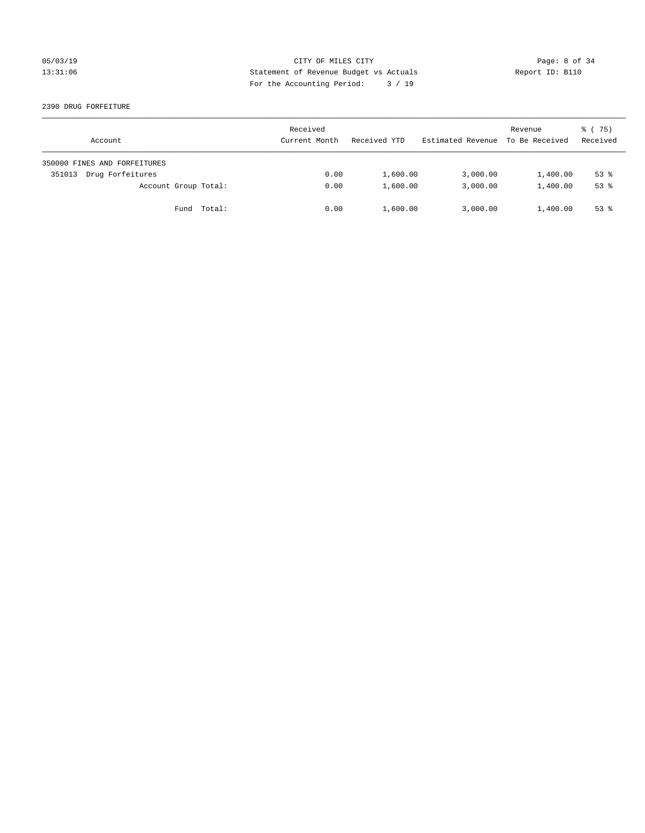# 05/03/19 CITY OF MILES CITY Page: 8 of 34 13:31:06 Statement of Revenue Budget vs Actuals Report ID: B110 For the Accounting Period: 3 / 19

2390 DRUG FORFEITURE

| Account                      | Received<br>Current Month | Received YTD | Estimated Revenue | Revenue<br>To Be Received | 8 (75)<br>Received |
|------------------------------|---------------------------|--------------|-------------------|---------------------------|--------------------|
| 350000 FINES AND FORFEITURES |                           |              |                   |                           |                    |
| Drug Forfeitures<br>351013   | 0.00                      | 1,600.00     | 3,000.00          | 1,400.00                  | $53$ $%$           |
| Account Group Total:         | 0.00                      | 1,600.00     | 3,000.00          | 1,400.00                  | $53$ $%$           |
| Fund Total:                  | 0.00                      | 1,600.00     | 3,000.00          | 1,400.00                  | $53$ $%$           |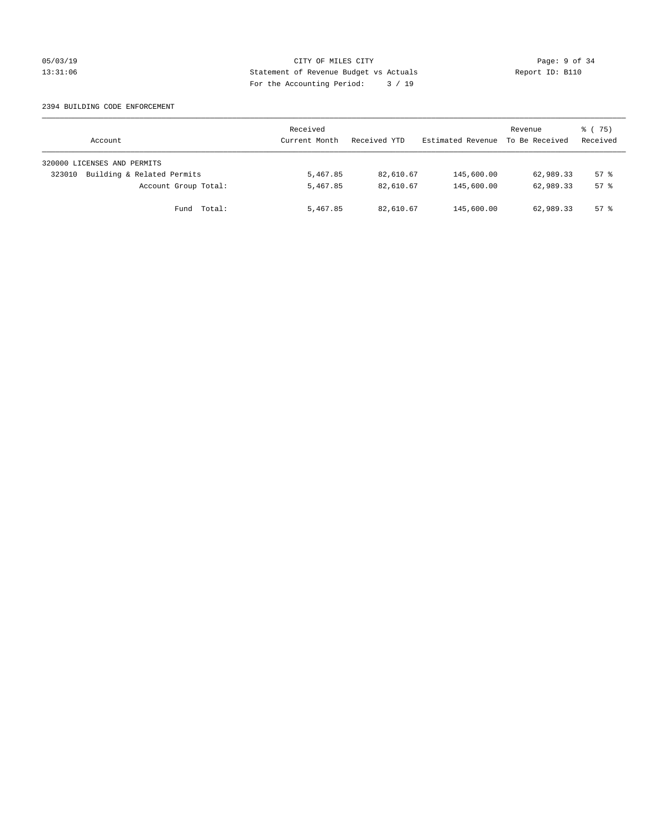#### 05/03/19 CITY OF MILES CITY Page: 9 of 34 13:31:06 Statement of Revenue Budget vs Actuals Report ID: B110 For the Accounting Period: 3 / 19

#### 2394 BUILDING CODE ENFORCEMENT

| Account                              | Received<br>Current Month | Received YTD | Estimated Revenue | Revenue<br>To Be Received | 8 (75)<br>Received |
|--------------------------------------|---------------------------|--------------|-------------------|---------------------------|--------------------|
| 320000 LICENSES AND PERMITS          |                           |              |                   |                           |                    |
| Building & Related Permits<br>323010 | 5,467.85                  | 82,610.67    | 145,600.00        | 62,989.33                 | $57$ $\frac{6}{3}$ |
| Account Group Total:                 | 5,467.85                  | 82,610.67    | 145,600.00        | 62,989.33                 | $57*$              |
| Fund Total:                          | 5,467.85                  | 82,610.67    | 145,600.00        | 62,989.33                 | 57%                |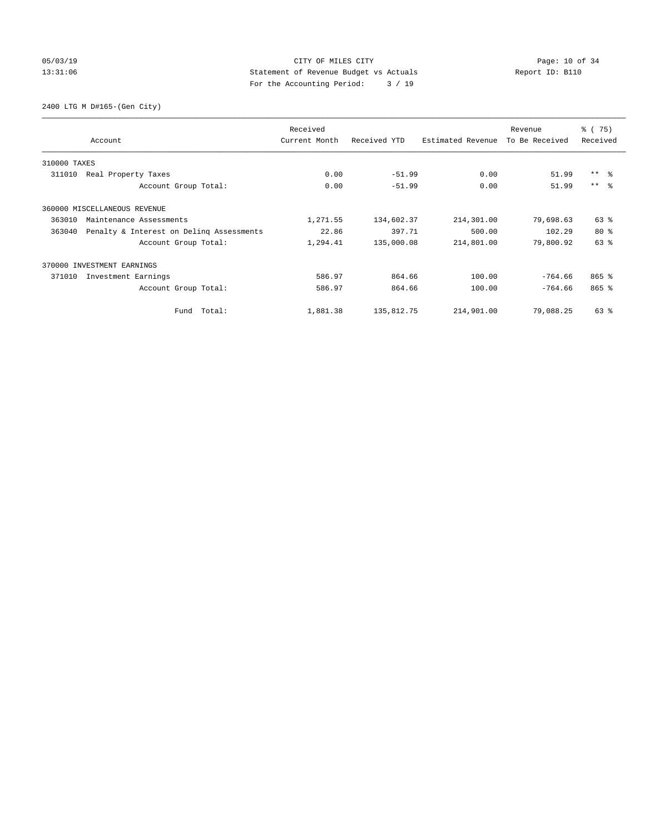#### 05/03/19 Page: 10 of 34 13:31:06 Statement of Revenue Budget vs Actuals Report ID: B110 For the Accounting Period: 3 / 19

2400 LTG M D#165-(Gen City)

|              | Account                                  | Received<br>Current Month | Received YTD | Estimated Revenue | Revenue<br>To Be Received | % (75)<br>Received |
|--------------|------------------------------------------|---------------------------|--------------|-------------------|---------------------------|--------------------|
| 310000 TAXES |                                          |                           |              |                   |                           |                    |
| 311010       | Real Property Taxes                      | 0.00                      | $-51.99$     | 0.00              | 51.99                     | $***$ $ -$         |
|              | Account Group Total:                     | 0.00                      | $-51.99$     | 0.00              | 51.99                     | $***$ $\approx$    |
|              | 360000 MISCELLANEOUS REVENUE             |                           |              |                   |                           |                    |
| 363010       | Maintenance Assessments                  | 1,271.55                  | 134,602.37   | 214,301.00        | 79,698.63                 | $63$ $%$           |
| 363040       | Penalty & Interest on Deling Assessments | 22.86                     | 397.71       | 500.00            | 102.29                    | $80*$              |
|              | Account Group Total:                     | 1,294.41                  | 135,000.08   | 214,801.00        | 79,800.92                 | 63%                |
|              | 370000 INVESTMENT EARNINGS               |                           |              |                   |                           |                    |
| 371010       | Investment Earnings                      | 586.97                    | 864.66       | 100.00            | $-764.66$                 | $865$ $%$          |
|              | Account Group Total:                     | 586.97                    | 864.66       | 100.00            | $-764.66$                 | $865$ $%$          |
|              | Fund Total:                              | 1,881.38                  | 135,812.75   | 214,901.00        | 79,088.25                 | 63 %               |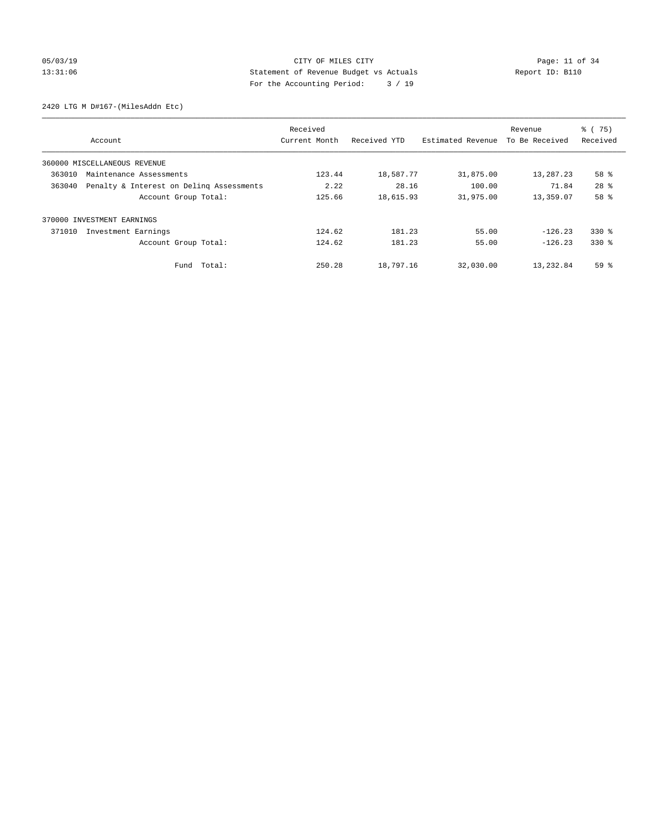# 05/03/19 Page: 11 of 34 13:31:06 Statement of Revenue Budget vs Actuals Report ID: B110 For the Accounting Period: 3 / 19

2420 LTG M D#167-(MilesAddn Etc)

|        |                                          | Received      |              |                   | Revenue        | % (75)          |
|--------|------------------------------------------|---------------|--------------|-------------------|----------------|-----------------|
|        | Account                                  | Current Month | Received YTD | Estimated Revenue | To Be Received | Received        |
|        | 360000 MISCELLANEOUS REVENUE             |               |              |                   |                |                 |
| 363010 | Maintenance Assessments                  | 123.44        | 18,587.77    | 31,875.00         | 13,287.23      | 58 %            |
| 363040 | Penalty & Interest on Deling Assessments | 2.22          | 28.16        | 100.00            | 71.84          | 28 <sup>8</sup> |
|        | Account Group Total:                     | 125.66        | 18,615.93    | 31,975.00         | 13,359.07      | 58 %            |
|        | 370000 INVESTMENT EARNINGS               |               |              |                   |                |                 |
| 371010 | Investment Earnings                      | 124.62        | 181.23       | 55.00             | $-126.23$      | $330*$          |
|        | Account Group Total:                     | 124.62        | 181.23       | 55.00             | $-126.23$      | $330*$          |
|        | Fund Total:                              | 250.28        | 18,797.16    | 32,030.00         | 13,232.84      | 59 %            |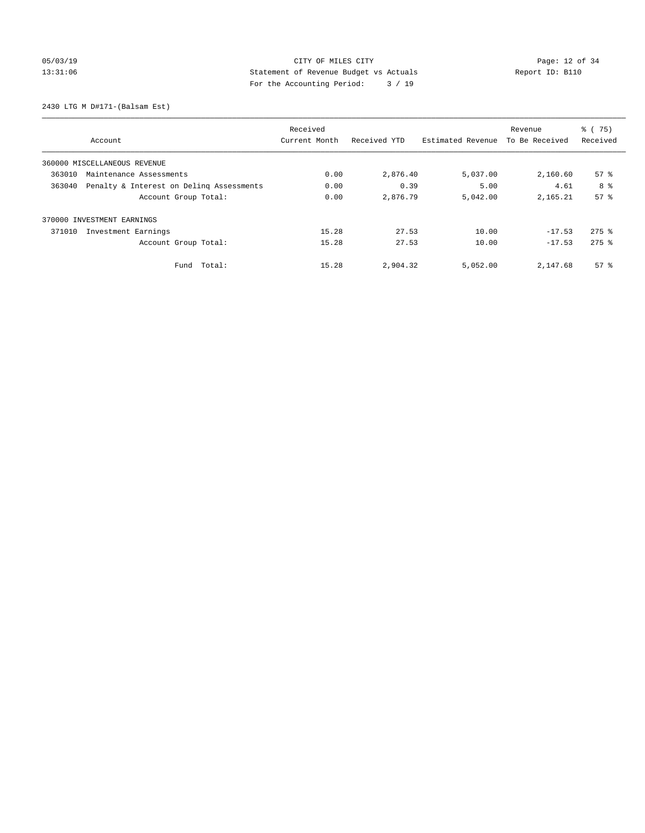# 05/03/19 Page: 12 of 34 13:31:06 Statement of Revenue Budget vs Actuals Report ID: B110 For the Accounting Period: 3 / 19

2430 LTG M D#171-(Balsam Est)

|                                                    | Received      |              |                   | Revenue        | % (75)              |
|----------------------------------------------------|---------------|--------------|-------------------|----------------|---------------------|
| Account                                            | Current Month | Received YTD | Estimated Revenue | To Be Received | Received            |
| 360000 MISCELLANEOUS REVENUE                       |               |              |                   |                |                     |
| 363010<br>Maintenance Assessments                  | 0.00          | 2,876.40     | 5,037.00          | 2,160.60       | 57 <sup>8</sup>     |
| 363040<br>Penalty & Interest on Deling Assessments | 0.00          | 0.39         | 5.00              | 4.61           | 8 %                 |
| Account Group Total:                               | 0.00          | 2,876.79     | 5,042.00          | 2,165.21       | 57 <sup>8</sup>     |
| 370000 INVESTMENT EARNINGS                         |               |              |                   |                |                     |
| Investment Earnings<br>371010                      | 15.28         | 27.53        | 10.00             | $-17.53$       | $275$ $\frac{6}{5}$ |
| Account Group Total:                               | 15.28         | 27.53        | 10.00             | $-17.53$       | $275$ $\frac{6}{5}$ |
| Total:<br>Fund                                     | 15.28         | 2,904.32     | 5,052.00          | 2,147.68       | 57 <sup>8</sup>     |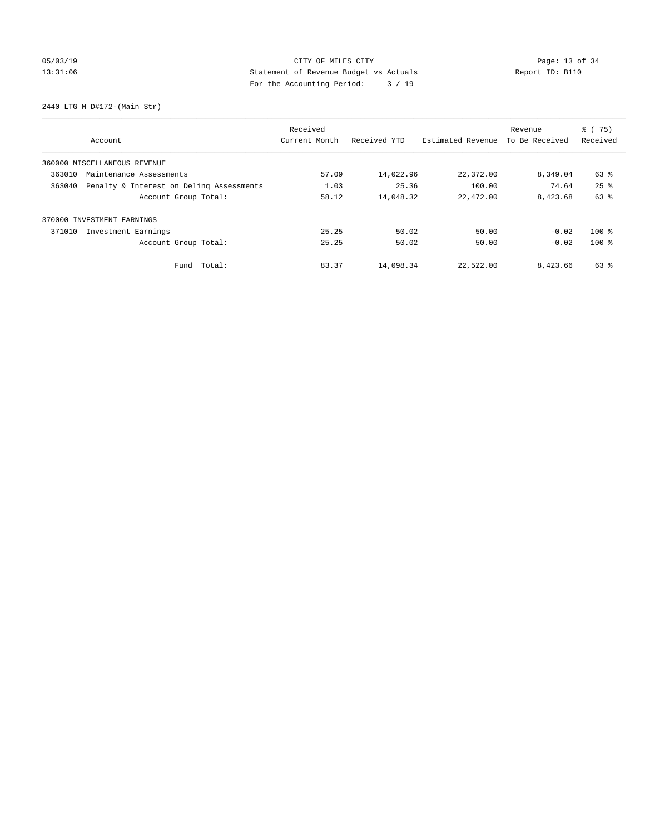# 05/03/19 Page: 13 of 34 13:31:06 Statement of Revenue Budget vs Actuals Report ID: B110 For the Accounting Period: 3 / 19

2440 LTG M D#172-(Main Str)

|        |                                          | Received      |              |                   | Revenue        | % (75)   |
|--------|------------------------------------------|---------------|--------------|-------------------|----------------|----------|
|        | Account                                  | Current Month | Received YTD | Estimated Revenue | To Be Received | Received |
|        | 360000 MISCELLANEOUS REVENUE             |               |              |                   |                |          |
| 363010 | Maintenance Assessments                  | 57.09         | 14,022.96    | 22,372.00         | 8,349.04       | 63 %     |
| 363040 | Penalty & Interest on Deling Assessments | 1.03          | 25.36        | 100.00            | 74.64          | $25$ $%$ |
|        | Account Group Total:                     | 58.12         | 14,048.32    | 22,472.00         | 8,423.68       | 63 %     |
|        | 370000 INVESTMENT EARNINGS               |               |              |                   |                |          |
| 371010 | Investment Earnings                      | 25.25         | 50.02        | 50.00             | $-0.02$        | $100*$   |
|        | Account Group Total:                     | 25.25         | 50.02        | 50.00             | $-0.02$        | $100*$   |
|        | Fund Total:                              | 83.37         | 14,098.34    | 22,522.00         | 8,423.66       | 63 %     |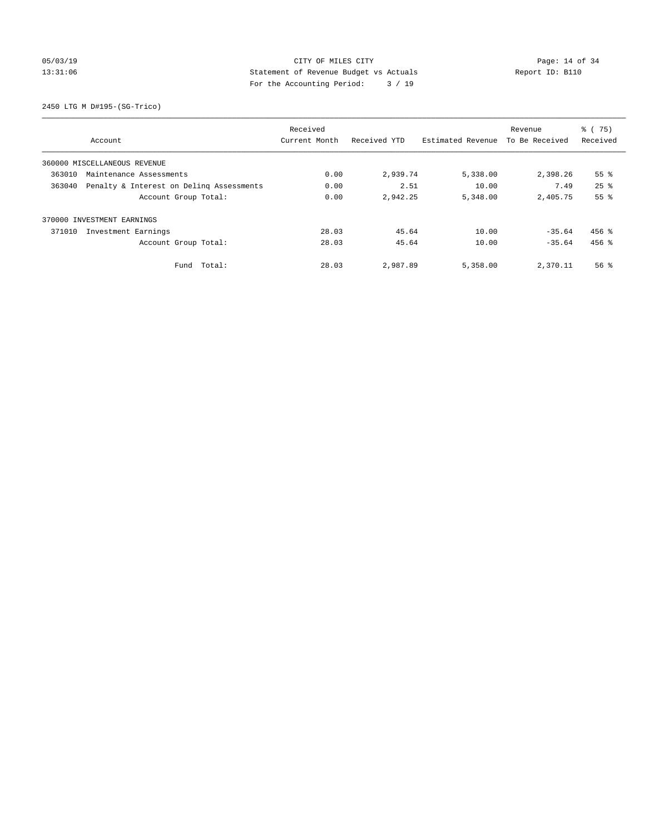# 05/03/19 Page: 14 of 34 13:31:06 Statement of Revenue Budget vs Actuals Report ID: B110 For the Accounting Period: 3 / 19

2450 LTG M D#195-(SG-Trico)

|                                                    | Received      |              |                   | Revenue        | % (75)             |
|----------------------------------------------------|---------------|--------------|-------------------|----------------|--------------------|
| Account                                            | Current Month | Received YTD | Estimated Revenue | To Be Received | Received           |
| 360000 MISCELLANEOUS REVENUE                       |               |              |                   |                |                    |
| 363010<br>Maintenance Assessments                  | 0.00          | 2,939.74     | 5,338.00          | 2,398.26       | 55 <sup>8</sup>    |
| 363040<br>Penalty & Interest on Deling Assessments | 0.00          | 2.51         | 10.00             | 7.49           | $25$ $%$           |
| Account Group Total:                               | 0.00          | 2,942.25     | 5,348.00          | 2,405.75       | 55%                |
| 370000 INVESTMENT EARNINGS                         |               |              |                   |                |                    |
| Investment Earnings<br>371010                      | 28.03         | 45.64        | 10.00             | $-35.64$       | $456$ %            |
| Account Group Total:                               | 28.03         | 45.64        | 10.00             | $-35.64$       | $456$ %            |
| Total:<br>Fund                                     | 28.03         | 2,987.89     | 5,358.00          | 2,370.11       | $56$ $\frac{6}{3}$ |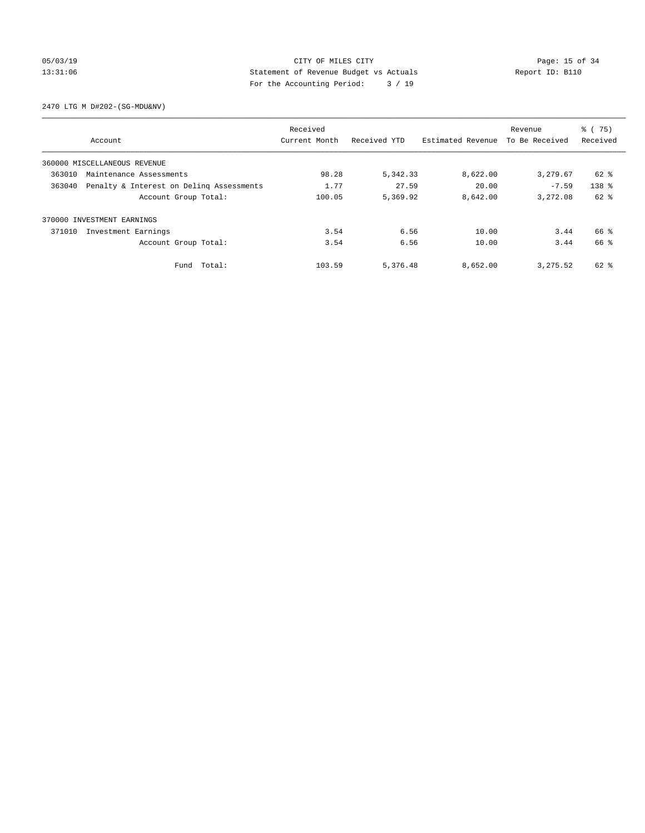#### 05/03/19 Page: 15 of 34 13:31:06 Statement of Revenue Budget vs Actuals Report ID: B110 For the Accounting Period: 3 / 19

2470 LTG M D#202-(SG-MDU&NV)

|                                                    |                      | Received      |              |                   | Revenue        | % (75)           |
|----------------------------------------------------|----------------------|---------------|--------------|-------------------|----------------|------------------|
| Account                                            |                      | Current Month | Received YTD | Estimated Revenue | To Be Received | Received         |
| 360000 MISCELLANEOUS REVENUE                       |                      |               |              |                   |                |                  |
| 363010<br>Maintenance Assessments                  |                      | 98.28         | 5,342.33     | 8,622.00          | 3,279.67       | 62 %             |
| Penalty & Interest on Deling Assessments<br>363040 |                      | 1.77          | 27.59        | 20.00             | $-7.59$        | 138 <sup>8</sup> |
|                                                    | Account Group Total: | 100.05        | 5,369.92     | 8,642.00          | 3,272.08       | $62$ $%$         |
| 370000 INVESTMENT EARNINGS                         |                      |               |              |                   |                |                  |
| 371010<br>Investment Earnings                      |                      | 3.54          | 6.56         | 10.00             | 3.44           | 66 %             |
|                                                    | Account Group Total: | 3.54          | 6.56         | 10.00             | 3.44           | 66 %             |
|                                                    | Fund Total:          | 103.59        | 5,376.48     | 8,652.00          | 3, 275.52      | 62 %             |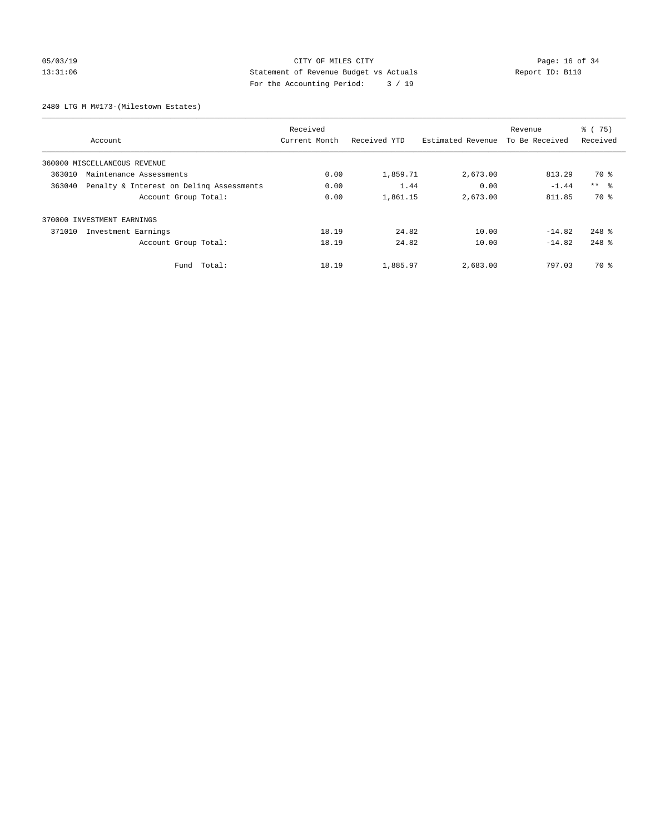#### 05/03/19 Page: 16 of 34 13:31:06 Statement of Revenue Budget vs Actuals Report ID: B110 For the Accounting Period: 3 / 19

2480 LTG M M#173-(Milestown Estates)

|                                                    | Received      |              |                   | Revenue        | % (75)     |
|----------------------------------------------------|---------------|--------------|-------------------|----------------|------------|
| Account                                            | Current Month | Received YTD | Estimated Revenue | To Be Received | Received   |
| 360000 MISCELLANEOUS REVENUE                       |               |              |                   |                |            |
| 363010<br>Maintenance Assessments                  | 0.00          | 1,859.71     | 2,673.00          | 813.29         | 70 %       |
| 363040<br>Penalty & Interest on Deling Assessments | 0.00          | 1.44         | 0.00              | $-1.44$        | $***$ $ -$ |
| Account Group Total:                               | 0.00          | 1,861.15     | 2,673.00          | 811.85         | 70 %       |
| 370000 INVESTMENT EARNINGS                         |               |              |                   |                |            |
| 371010<br>Investment Earnings                      | 18.19         | 24.82        | 10.00             | $-14.82$       | $248$ %    |
| Account Group Total:                               | 18.19         | 24.82        | 10.00             | $-14.82$       | $248$ %    |
| Total:<br>Fund                                     | 18.19         | 1,885.97     | 2,683.00          | 797.03         | 70 %       |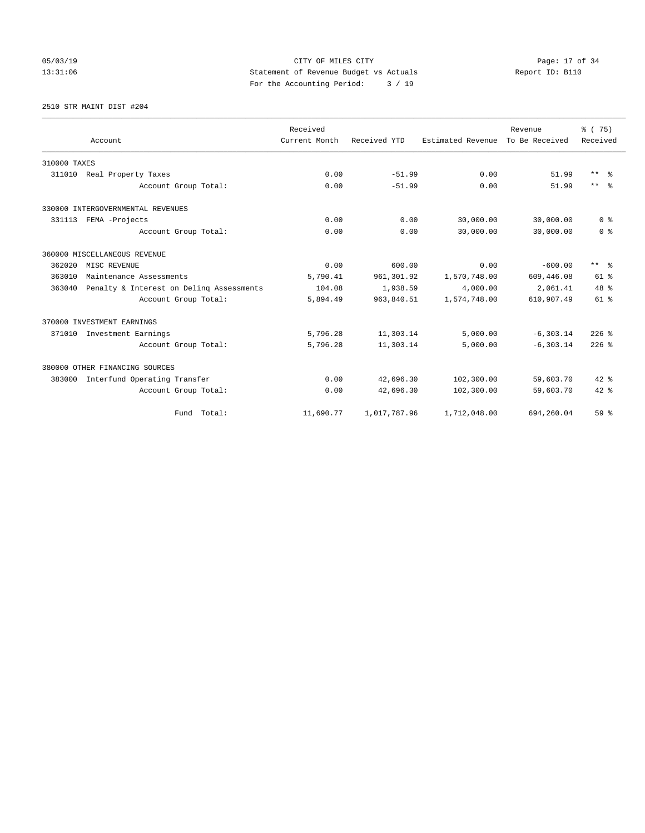# 05/03/19 Page: 17 of 34 13:31:06 Statement of Revenue Budget vs Actuals Report ID: B110 For the Accounting Period: 3 / 19

2510 STR MAINT DIST #204

|              |                                          | Received      |              |                   | Revenue        | % (75)                  |
|--------------|------------------------------------------|---------------|--------------|-------------------|----------------|-------------------------|
|              | Account                                  | Current Month | Received YTD | Estimated Revenue | To Be Received | Received                |
| 310000 TAXES |                                          |               |              |                   |                |                         |
| 311010       | Real Property Taxes                      | 0.00          | $-51.99$     | 0.00              | 51.99          | $***$ $=$ $\frac{6}{5}$ |
|              | Account Group Total:                     | 0.00          | $-51.99$     | 0.00              | 51.99          | $***$ $=$               |
|              | 330000 INTERGOVERNMENTAL REVENUES        |               |              |                   |                |                         |
|              | 331113 FEMA -Projects                    | 0.00          | 0.00         | 30,000.00         | 30,000.00      | 0 <sup>8</sup>          |
|              | Account Group Total:                     | 0.00          | 0.00         | 30,000.00         | 30,000.00      | 0 <sup>8</sup>          |
|              | 360000 MISCELLANEOUS REVENUE             |               |              |                   |                |                         |
| 362020       | MISC REVENUE                             | 0.00          | 600.00       | 0.00              | $-600.00$      | $***$ $%$               |
| 363010       | Maintenance Assessments                  | 5,790.41      | 961,301.92   | 1,570,748.00      | 609,446.08     | $61$ $%$                |
| 363040       | Penalty & Interest on Deling Assessments | 104.08        | 1,938.59     | 4,000.00          | 2,061.41       | $48*$                   |
|              | Account Group Total:                     | 5,894.49      | 963,840.51   | 1,574,748.00      | 610,907.49     | 61 %                    |
|              | 370000 INVESTMENT EARNINGS               |               |              |                   |                |                         |
| 371010       | Investment Earnings                      | 5,796.28      | 11,303.14    | 5,000.00          | $-6, 303.14$   | $226$ %                 |
|              | Account Group Total:                     | 5,796.28      | 11,303.14    | 5,000.00          | $-6, 303.14$   | $226$ $%$               |
|              | 380000 OTHER FINANCING SOURCES           |               |              |                   |                |                         |
| 383000       | Interfund Operating Transfer             | 0.00          | 42,696.30    | 102,300.00        | 59,603.70      | $42$ %                  |
|              | Account Group Total:                     | 0.00          | 42,696.30    | 102,300.00        | 59,603.70      | $42*$                   |
|              | Fund Total:                              | 11,690.77     | 1,017,787.96 | 1,712,048.00      | 694,260.04     | 59 <sup>8</sup>         |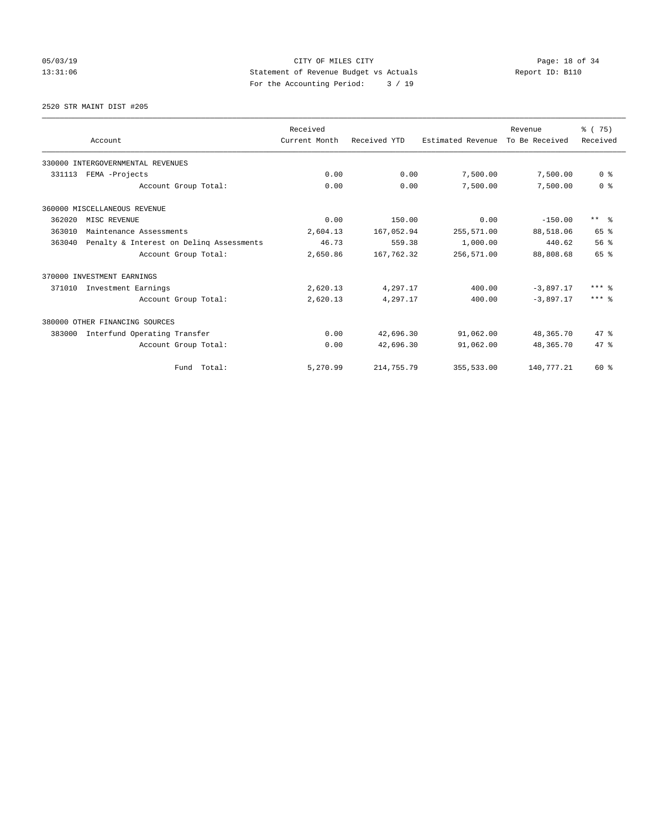# 05/03/19 Page: 18 of 34 13:31:06 Statement of Revenue Budget vs Actuals Report ID: B110 For the Accounting Period: 3 / 19

2520 STR MAINT DIST #205

|        |                                          | Received      |              |                   | Revenue        | % (75)                  |
|--------|------------------------------------------|---------------|--------------|-------------------|----------------|-------------------------|
|        | Account                                  | Current Month | Received YTD | Estimated Revenue | To Be Received | Received                |
|        | 330000 INTERGOVERNMENTAL REVENUES        |               |              |                   |                |                         |
| 331113 | FEMA -Projects                           | 0.00          | 0.00         | 7,500.00          | 7,500.00       | 0 <sup>8</sup>          |
|        | Account Group Total:                     | 0.00          | 0.00         | 7,500.00          | 7,500.00       | 0 <sup>8</sup>          |
|        | 360000 MISCELLANEOUS REVENUE             |               |              |                   |                |                         |
| 362020 | MISC REVENUE                             | 0.00          | 150.00       | 0.00              | $-150.00$      | $***$ $=$ $\frac{6}{5}$ |
| 363010 | Maintenance Assessments                  | 2,604.13      | 167,052.94   | 255,571.00        | 88,518.06      | 65 %                    |
| 363040 | Penalty & Interest on Deling Assessments | 46.73         | 559.38       | 1,000.00          | 440.62         | 56%                     |
|        | Account Group Total:                     | 2,650.86      | 167,762.32   | 256,571.00        | 88,808.68      | 65 %                    |
|        | 370000 INVESTMENT EARNINGS               |               |              |                   |                |                         |
| 371010 | Investment Earnings                      | 2,620.13      | 4,297.17     | 400.00            | $-3,897.17$    | $***$ $%$               |
|        | Account Group Total:                     | 2,620.13      | 4,297.17     | 400.00            | $-3,897.17$    | $***$ $%$               |
|        | 380000 OTHER FINANCING SOURCES           |               |              |                   |                |                         |
| 383000 | Interfund Operating Transfer             | 0.00          | 42,696.30    | 91,062.00         | 48,365.70      | 47.8                    |
|        | Account Group Total:                     | 0.00          | 42,696.30    | 91,062.00         | 48,365.70      | 47.8                    |
|        | Total:<br>Fund                           | 5,270.99      | 214,755.79   | 355,533.00        | 140,777.21     | 60 %                    |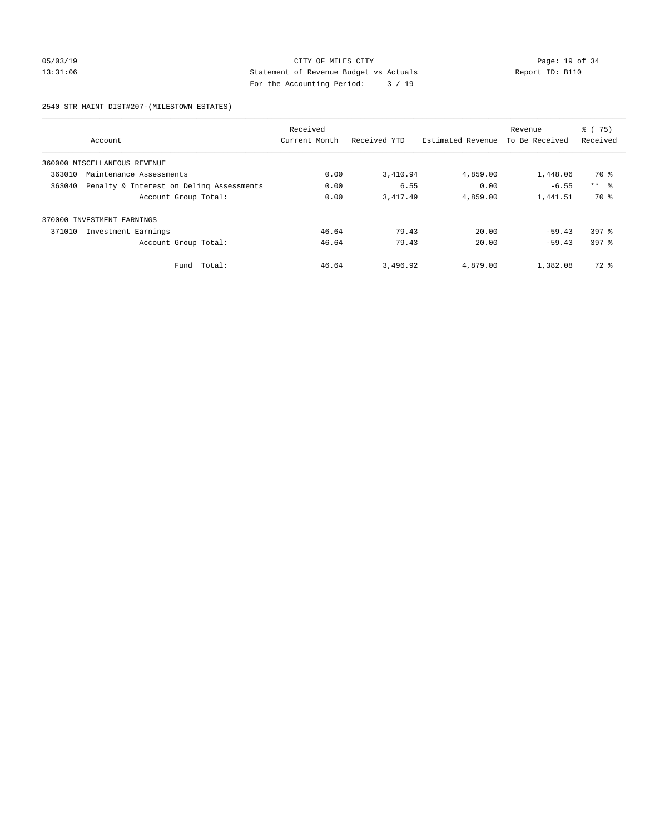#### 05/03/19 Page: 19 of 34 13:31:06 Statement of Revenue Budget vs Actuals Report ID: B110 For the Accounting Period: 3 / 19

2540 STR MAINT DIST#207-(MILESTOWN ESTATES)

|        |                                          | Received      |              |                   | Revenue        | % (75)           |
|--------|------------------------------------------|---------------|--------------|-------------------|----------------|------------------|
|        | Account                                  | Current Month | Received YTD | Estimated Revenue | To Be Received | Received         |
|        | 360000 MISCELLANEOUS REVENUE             |               |              |                   |                |                  |
| 363010 | Maintenance Assessments                  | 0.00          | 3,410.94     | 4,859.00          | 1,448.06       | 70 %             |
| 363040 | Penalty & Interest on Deling Assessments | 0.00          | 6.55         | 0.00              | $-6.55$        | $***$ $\approx$  |
|        | Account Group Total:                     | 0.00          | 3, 417.49    | 4,859.00          | 1,441.51       | 70 %             |
| 370000 | INVESTMENT EARNINGS                      |               |              |                   |                |                  |
| 371010 | Investment Earnings                      | 46.64         | 79.43        | 20.00             | $-59.43$       | $397$ $%$        |
|        | Account Group Total:                     | 46.64         | 79.43        | 20.00             | $-59.43$       | 397 <sub>8</sub> |
|        | Fund Total:                              | 46.64         | 3,496.92     | 4,879.00          | 1,382.08       | 72 %             |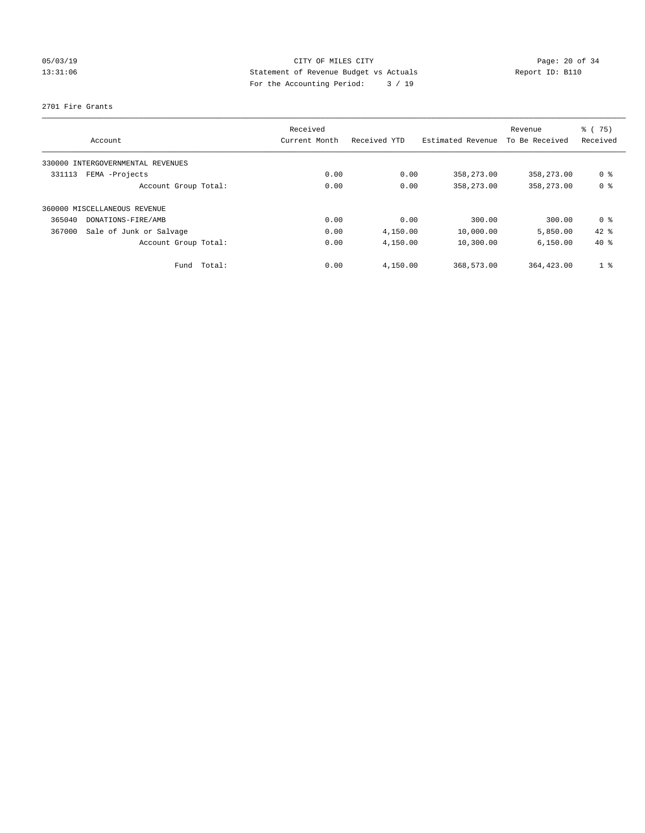# 05/03/19 Page: 20 of 34 13:31:06 Statement of Revenue Budget vs Actuals Report ID: B110 For the Accounting Period: 3 / 19

#### 2701 Fire Grants

| Account                           | Received<br>Current Month | Received YTD | Estimated Revenue | Revenue<br>To Be Received | % (75)<br>Received |
|-----------------------------------|---------------------------|--------------|-------------------|---------------------------|--------------------|
| 330000 INTERGOVERNMENTAL REVENUES |                           |              |                   |                           |                    |
| FEMA -Projects<br>331113          | 0.00                      | 0.00         | 358,273.00        | 358,273.00                | 0 <sup>8</sup>     |
| Account Group Total:              | 0.00                      | 0.00         | 358,273.00        | 358,273.00                | 0 <sup>8</sup>     |
| 360000 MISCELLANEOUS REVENUE      |                           |              |                   |                           |                    |
| DONATIONS-FIRE/AMB<br>365040      | 0.00                      | 0.00         | 300.00            | 300.00                    | 0 ક                |
| Sale of Junk or Salvage<br>367000 | 0.00                      | 4,150.00     | 10,000.00         | 5,850.00                  | $42$ %             |
| Account Group Total:              | 0.00                      | 4,150.00     | 10,300.00         | 6.150.00                  | $40*$              |
| Total:<br>Fund                    | 0.00                      | 4,150.00     | 368,573.00        | 364, 423, 00              | 1 <sup>8</sup>     |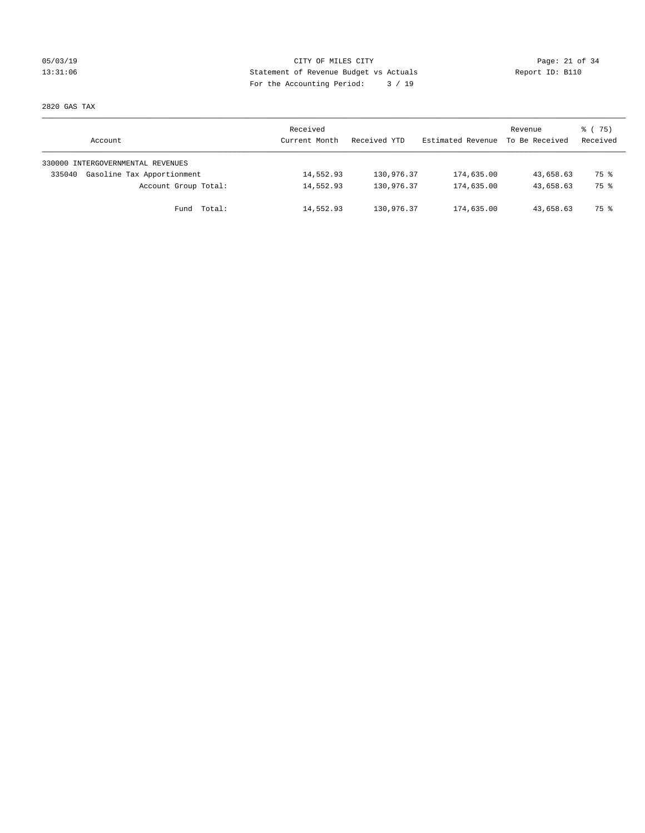# 05/03/19 Page: 21 of 34 13:31:06 Statement of Revenue Budget vs Actuals Report ID: B110 For the Accounting Period: 3 / 19

2820 GAS TAX

| Account                              | Received<br>Current Month | Received YTD | Estimated Revenue | Revenue<br>To Be Received | 8 (75)<br>Received |
|--------------------------------------|---------------------------|--------------|-------------------|---------------------------|--------------------|
| 330000 INTERGOVERNMENTAL REVENUES    |                           |              |                   |                           |                    |
| Gasoline Tax Apportionment<br>335040 | 14,552.93                 | 130,976.37   | 174,635.00        | 43,658.63                 | 75 %               |
| Account Group Total:                 | 14,552.93                 | 130,976.37   | 174,635.00        | 43,658.63                 | 75 %               |
| Fund Total:                          | 14,552.93                 | 130,976.37   | 174,635.00        | 43,658.63                 | 75 %               |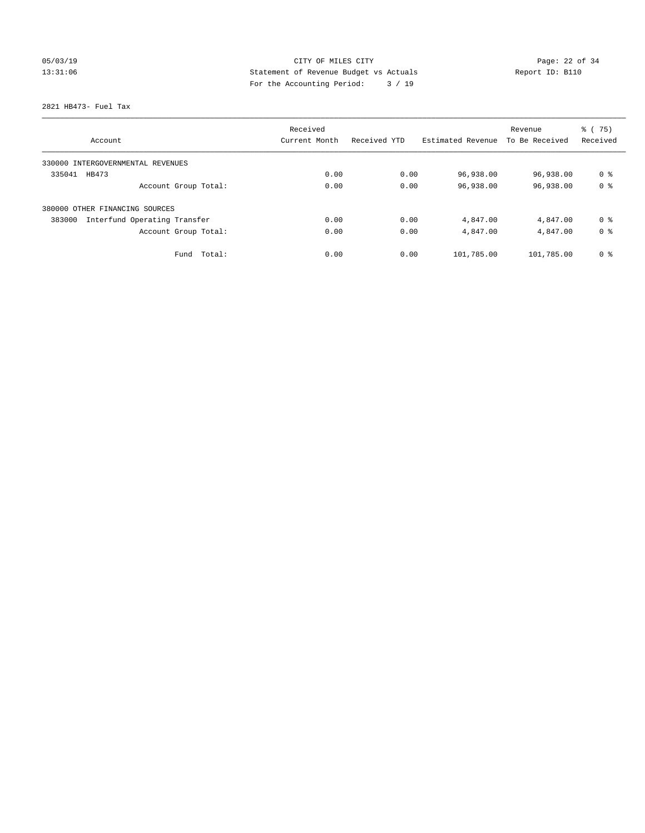# 05/03/19 Page: 22 of 34 13:31:06 Statement of Revenue Budget vs Actuals Report ID: B110 For the Accounting Period: 3 / 19

2821 HB473- Fuel Tax

|                                        | Received      |              |                   | Revenue        | % (75)         |
|----------------------------------------|---------------|--------------|-------------------|----------------|----------------|
| Account                                | Current Month | Received YTD | Estimated Revenue | To Be Received | Received       |
| 330000 INTERGOVERNMENTAL REVENUES      |               |              |                   |                |                |
| 335041<br>HB473                        | 0.00          | 0.00         | 96,938.00         | 96,938.00      | 0 <sup>8</sup> |
| Account Group Total:                   | 0.00          | 0.00         | 96,938.00         | 96,938.00      | 0 <sup>8</sup> |
| 380000 OTHER FINANCING SOURCES         |               |              |                   |                |                |
| 383000<br>Interfund Operating Transfer | 0.00          | 0.00         | 4,847.00          | 4,847.00       | 0 <sup>8</sup> |
| Account Group Total:                   | 0.00          | 0.00         | 4,847.00          | 4,847.00       | 0 <sup>8</sup> |
| Total:<br>Fund                         | 0.00          | 0.00         | 101,785.00        | 101,785.00     | 0 <sup>8</sup> |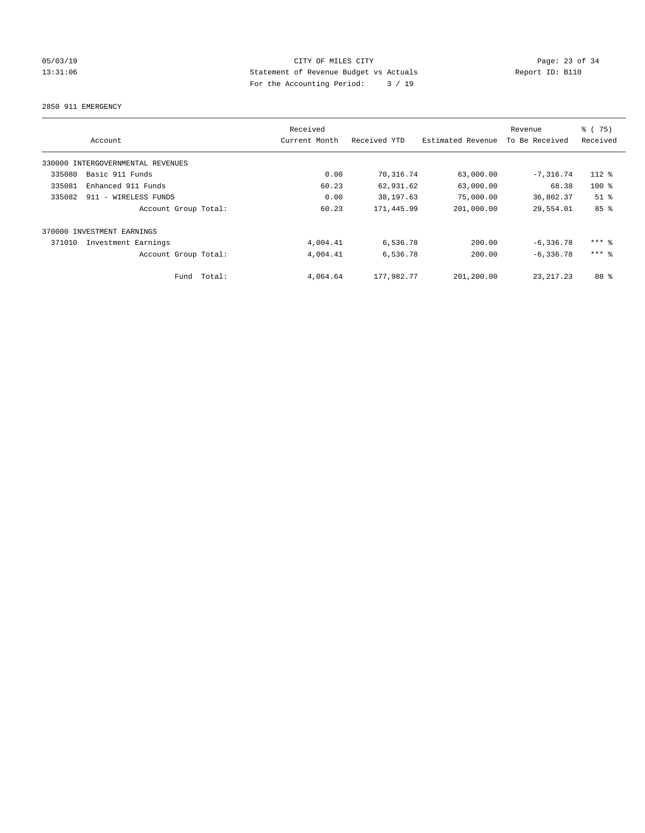# 05/03/19 Page: 23 of 34 13:31:06 Statement of Revenue Budget vs Actuals Report ID: B110 For the Accounting Period: 3 / 19

2850 911 EMERGENCY

|        | Account                           |        | Received<br>Current Month | Received YTD | Estimated Revenue | Revenue<br>To Be Received | % (75)<br>Received |
|--------|-----------------------------------|--------|---------------------------|--------------|-------------------|---------------------------|--------------------|
|        | 330000 INTERGOVERNMENTAL REVENUES |        |                           |              |                   |                           |                    |
| 335080 | Basic 911 Funds                   |        | 0.00                      | 70,316.74    | 63,000.00         | $-7, 316.74$              | 112 %              |
| 335081 | Enhanced 911 Funds                |        | 60.23                     | 62,931.62    | 63,000.00         | 68.38                     | $100*$             |
| 335082 | 911 - WIRELESS FUNDS              |        | 0.00                      | 38, 197.63   | 75,000.00         | 36,802.37                 | $51$ %             |
|        | Account Group Total:              |        | 60.23                     | 171,445.99   | 201,000.00        | 29,554.01                 | 85%                |
|        | 370000 INVESTMENT EARNINGS        |        |                           |              |                   |                           |                    |
| 371010 | Investment Earnings               |        | 4,004.41                  | 6,536.78     | 200.00            | $-6, 336.78$              | $***$ $%$          |
|        | Account Group Total:              |        | 4,004.41                  | 6,536.78     | 200.00            | $-6, 336.78$              | $***$ $=$          |
|        | Fund                              | Total: | 4,064.64                  | 177,982.77   | 201,200.00        | 23, 217, 23               | 88 %               |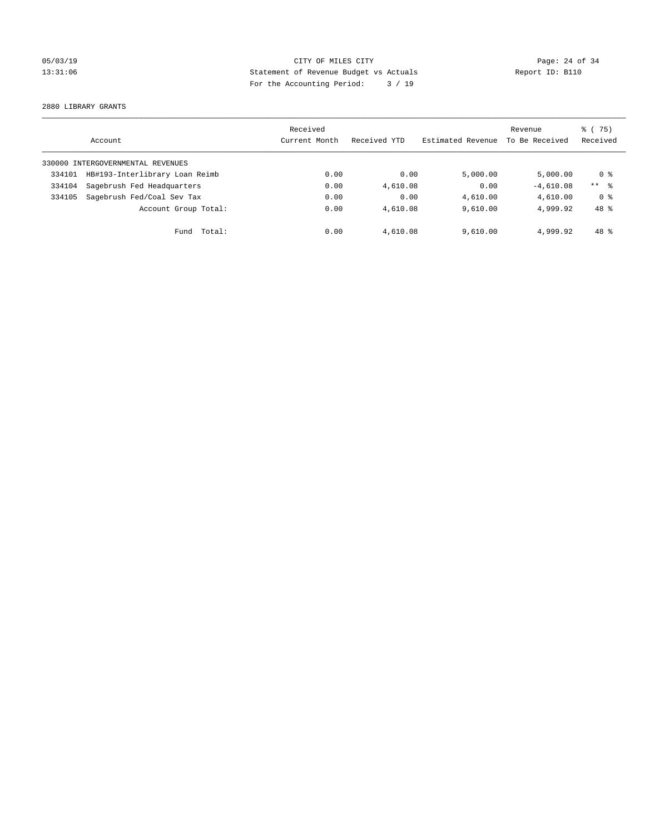# 05/03/19 Page: 24 of 34 13:31:06 Statement of Revenue Budget vs Actuals Report ID: B110 For the Accounting Period: 3 / 19

2880 LIBRARY GRANTS

|        | Account                           | Received<br>Current Month | Received YTD | Estimated Revenue | Revenue<br>To Be Received | % (75)<br>Received |
|--------|-----------------------------------|---------------------------|--------------|-------------------|---------------------------|--------------------|
|        | 330000 INTERGOVERNMENTAL REVENUES |                           |              |                   |                           |                    |
| 334101 | HB#193-Interlibrary Loan Reimb    | 0.00                      | 0.00         | 5,000.00          | 5.000.00                  | 0 ક                |
| 334104 | Sagebrush Fed Headquarters        | 0.00                      | 4,610.08     | 0.00              | $-4.610.08$               | $***$ 8            |
| 334105 | Sagebrush Fed/Coal Sev Tax        | 0.00                      | 0.00         | 4,610.00          | 4,610.00                  | 0 %                |
|        | Account Group Total:              | 0.00                      | 4,610.08     | 9.610.00          | 4,999.92                  | 48 %               |
|        | Total:<br>Fund                    | 0.00                      | 4,610.08     | 9,610.00          | 4,999.92                  | $48*$              |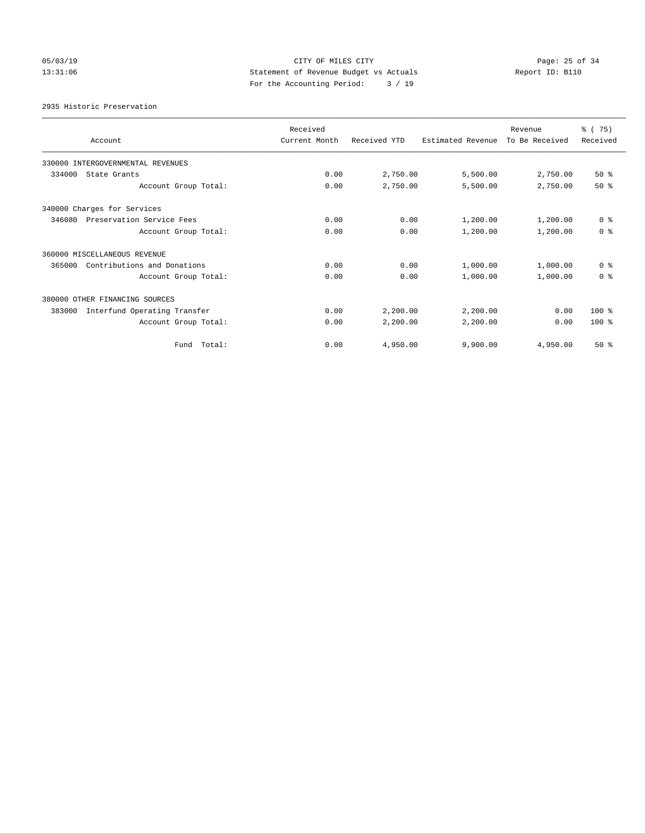# 05/03/19 Page: 25 of 34 13:31:06 Statement of Revenue Budget vs Actuals Report ID: B110 For the Accounting Period: 3 / 19

2935 Historic Preservation

| Account                                | Received<br>Current Month | Received YTD | Estimated Revenue | Revenue<br>To Be Received | % (75)<br>Received |
|----------------------------------------|---------------------------|--------------|-------------------|---------------------------|--------------------|
| 330000 INTERGOVERNMENTAL REVENUES      |                           |              |                   |                           |                    |
| 334000<br>State Grants                 | 0.00                      | 2,750.00     | 5,500.00          | 2,750.00                  | $50*$              |
| Account Group Total:                   | 0.00                      | 2,750.00     | 5,500.00          | 2,750.00                  | $50*$              |
| 340000 Charges for Services            |                           |              |                   |                           |                    |
| 346080<br>Preservation Service Fees    | 0.00                      | 0.00         | 1,200.00          | 1,200.00                  | 0 <sup>8</sup>     |
| Account Group Total:                   | 0.00                      | 0.00         | 1,200.00          | 1,200.00                  | 0 <sup>8</sup>     |
| 360000 MISCELLANEOUS REVENUE           |                           |              |                   |                           |                    |
| 365000<br>Contributions and Donations  | 0.00                      | 0.00         | 1,000.00          | 1,000.00                  | 0 <sup>8</sup>     |
| Account Group Total:                   | 0.00                      | 0.00         | 1,000.00          | 1,000.00                  | 0 <sup>8</sup>     |
| 380000 OTHER FINANCING SOURCES         |                           |              |                   |                           |                    |
| Interfund Operating Transfer<br>383000 | 0.00                      | 2,200.00     | 2,200.00          | 0.00                      | 100 %              |
| Account Group Total:                   | 0.00                      | 2,200.00     | 2,200.00          | 0.00                      | $100*$             |
| Fund Total:                            | 0.00                      | 4,950.00     | 9,900.00          | 4,950.00                  | $50*$              |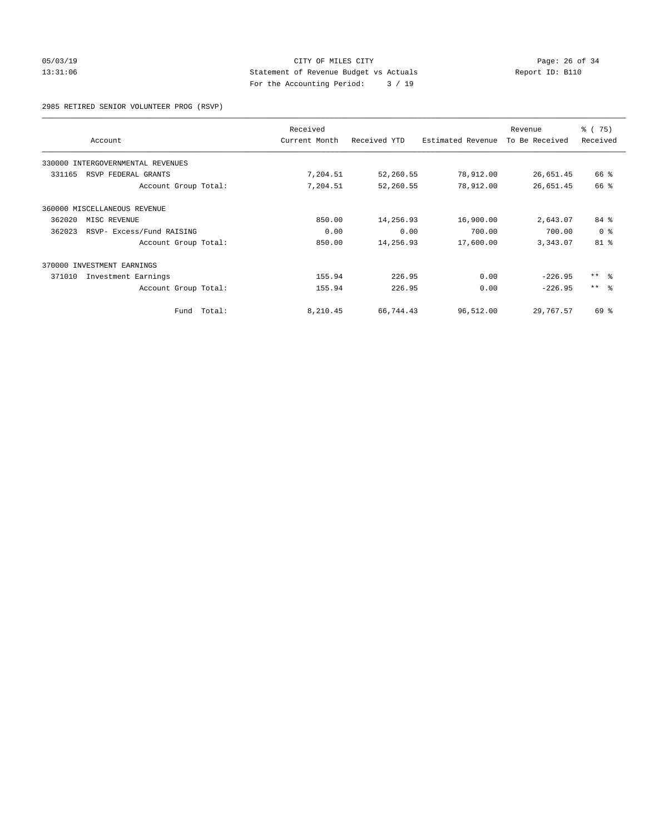#### 05/03/19 Page: 26 of 34 13:31:06 Statement of Revenue Budget vs Actuals Report ID: B110 For the Accounting Period: 3 / 19

2985 RETIRED SENIOR VOLUNTEER PROG (RSVP)

|        | Account                           |        | Received<br>Current Month | Received YTD | Estimated Revenue | Revenue<br>To Be Received | % (75)<br>Received |
|--------|-----------------------------------|--------|---------------------------|--------------|-------------------|---------------------------|--------------------|
|        | 330000 INTERGOVERNMENTAL REVENUES |        |                           |              |                   |                           |                    |
| 331165 | RSVP FEDERAL GRANTS               |        | 7,204.51                  | 52,260.55    | 78,912.00         | 26,651.45                 | 66 %               |
|        | Account Group Total:              |        | 7,204.51                  | 52,260.55    | 78,912.00         | 26,651.45                 | 66 %               |
|        | 360000 MISCELLANEOUS REVENUE      |        |                           |              |                   |                           |                    |
| 362020 | MISC REVENUE                      |        | 850.00                    | 14,256.93    | 16,900.00         | 2,643.07                  | $84*$              |
| 362023 | RSVP- Excess/Fund RAISING         |        | 0.00                      | 0.00         | 700.00            | 700.00                    | 0 <sup>8</sup>     |
|        | Account Group Total:              |        | 850.00                    | 14,256.93    | 17,600.00         | 3,343.07                  | 81 <sup>°</sup>    |
|        | 370000 INVESTMENT EARNINGS        |        |                           |              |                   |                           |                    |
| 371010 | Investment Earnings               |        | 155.94                    | 226.95       | 0.00              | $-226.95$                 | $***$ $ -$         |
|        | Account Group Total:              |        | 155.94                    | 226.95       | 0.00              | $-226.95$                 | $***$ $ -$         |
|        | Fund                              | Total: | 8,210.45                  | 66,744.43    | 96,512.00         | 29,767.57                 | 69 %               |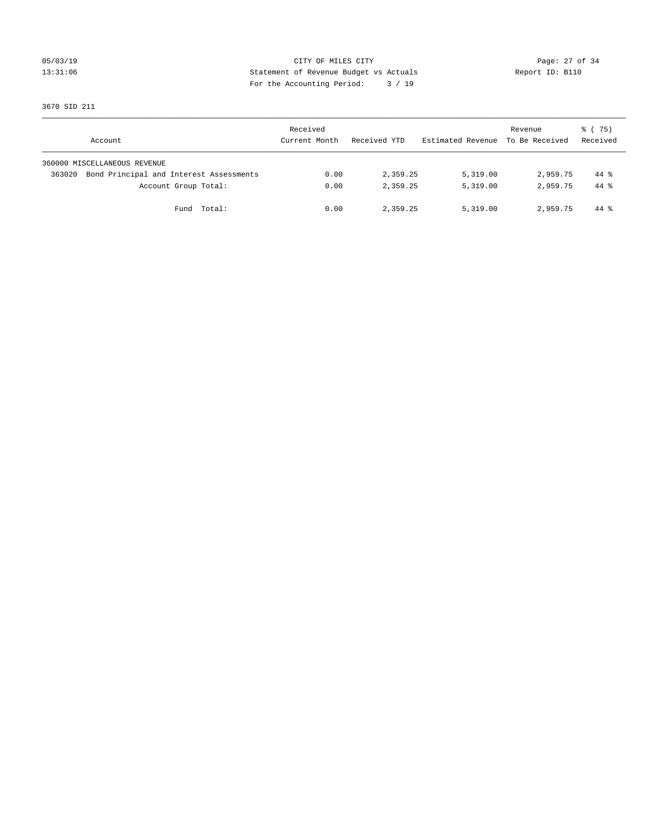# 05/03/19 Page: 27 of 34 13:31:06 Statement of Revenue Budget vs Actuals Report ID: B110 For the Accounting Period: 3 / 19

3670 SID 211

| Account                                           | Received<br>Current Month | Received YTD | Estimated Revenue To Be Received | Revenue  | 8 (75)<br>Received |
|---------------------------------------------------|---------------------------|--------------|----------------------------------|----------|--------------------|
| 360000 MISCELLANEOUS REVENUE                      |                           |              |                                  |          |                    |
| Bond Principal and Interest Assessments<br>363020 | 0.00                      | 2,359.25     | 5,319.00                         | 2,959.75 | $44*$              |
| Account Group Total:                              | 0.00                      | 2,359.25     | 5,319.00                         | 2,959.75 | $44*$              |
| Fund Total:                                       | 0.00                      | 2,359.25     | 5,319.00                         | 2,959.75 | 44 %               |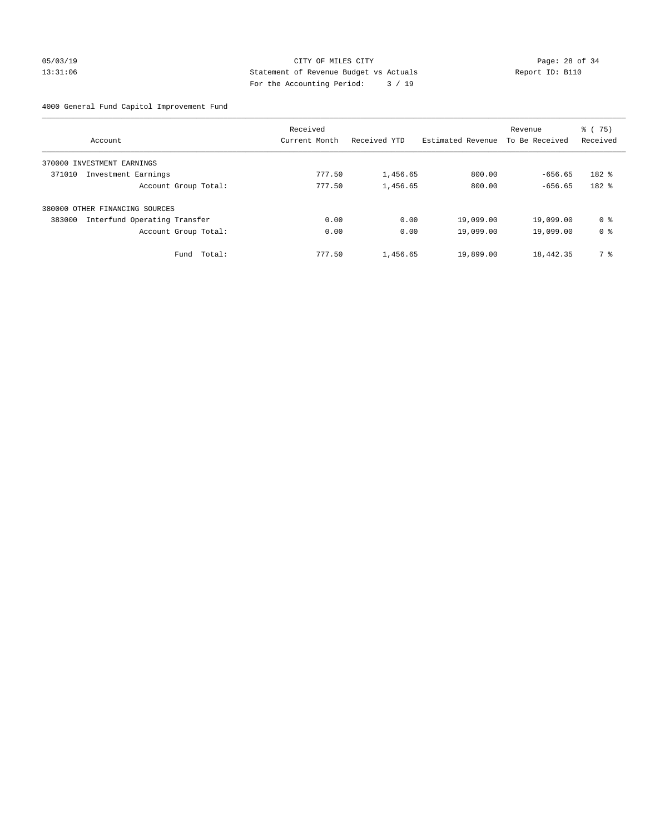#### 05/03/19 Page: 28 of 34 13:31:06 Statement of Revenue Budget vs Actuals Report ID: B110 For the Accounting Period: 3 / 19

4000 General Fund Capitol Improvement Fund

|                                        | Received      |              |                   | Revenue        | % (75)         |
|----------------------------------------|---------------|--------------|-------------------|----------------|----------------|
| Account                                | Current Month | Received YTD | Estimated Revenue | To Be Received | Received       |
| INVESTMENT EARNINGS<br>370000          |               |              |                   |                |                |
| 371010<br>Investment Earnings          | 777.50        | 1,456.65     | 800.00            | $-656.65$      | 182 %          |
| Account Group Total:                   | 777.50        | 1,456.65     | 800.00            | $-656.65$      | 182 %          |
| 380000 OTHER FINANCING SOURCES         |               |              |                   |                |                |
| Interfund Operating Transfer<br>383000 | 0.00          | 0.00         | 19,099.00         | 19,099.00      | 0 %            |
| Account Group Total:                   | 0.00          | 0.00         | 19,099.00         | 19,099.00      | 0 <sup>8</sup> |
| Total:<br>Fund                         | 777.50        | 1,456.65     | 19,899.00         | 18,442.35      | 7 %            |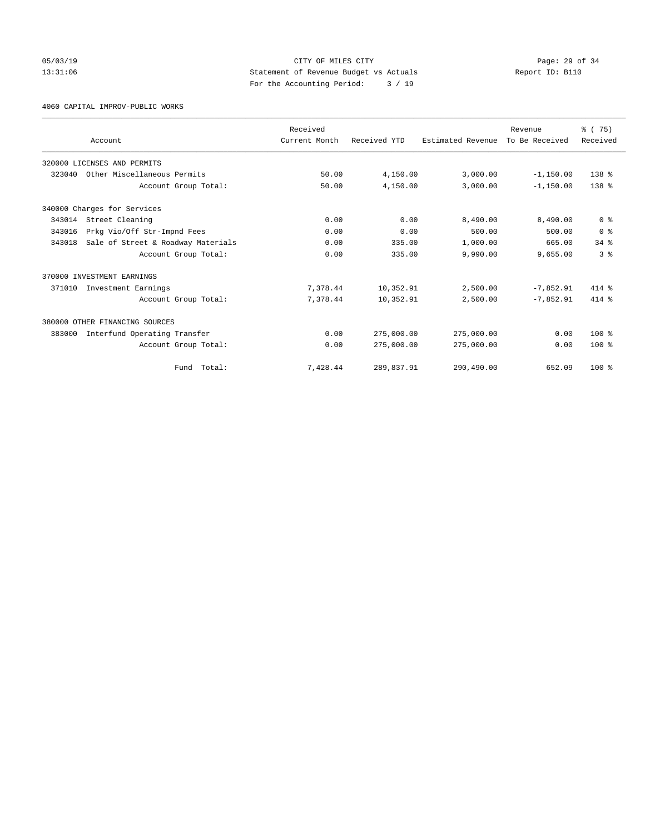#### 05/03/19 Page: 29 of 34 13:31:06 Statement of Revenue Budget vs Actuals Report ID: B110 For the Accounting Period: 3 / 19

4060 CAPITAL IMPROV-PUBLIC WORKS

|        |                                    | Received      |              |                   | Revenue        | % (75)           |
|--------|------------------------------------|---------------|--------------|-------------------|----------------|------------------|
|        | Account                            | Current Month | Received YTD | Estimated Revenue | To Be Received | Received         |
|        | 320000 LICENSES AND PERMITS        |               |              |                   |                |                  |
| 323040 | Other Miscellaneous Permits        | 50.00         | 4,150.00     | 3,000.00          | $-1,150.00$    | 138 %            |
|        | Account Group Total:               | 50.00         | 4,150.00     | 3,000.00          | $-1,150.00$    | 138 <sup>8</sup> |
|        | 340000 Charges for Services        |               |              |                   |                |                  |
| 343014 | Street Cleaning                    | 0.00          | 0.00         | 8,490.00          | 8,490.00       | 0 <sup>8</sup>   |
| 343016 | Prkg Vio/Off Str-Impnd Fees        | 0.00          | 0.00         | 500.00            | 500.00         | 0 <sup>8</sup>   |
| 343018 | Sale of Street & Roadway Materials | 0.00          | 335.00       | 1,000.00          | 665.00         | $34$ $%$         |
|        | Account Group Total:               | 0.00          | 335.00       | 9,990.00          | 9,655.00       | 3 <sup>8</sup>   |
|        | 370000 INVESTMENT EARNINGS         |               |              |                   |                |                  |
| 371010 | Investment Earnings                | 7,378.44      | 10,352.91    | 2,500.00          | $-7.852.91$    | 414 %            |
|        | Account Group Total:               | 7,378.44      | 10,352.91    | 2,500.00          | $-7,852.91$    | $414*$           |
|        | 380000 OTHER FINANCING SOURCES     |               |              |                   |                |                  |
| 383000 | Interfund Operating Transfer       | 0.00          | 275,000.00   | 275,000.00        | 0.00           | $100*$           |
|        | Account Group Total:               | 0.00          | 275,000.00   | 275,000.00        | 0.00           | $100*$           |
|        | Fund Total:                        | 7,428.44      | 289,837.91   | 290,490.00        | 652.09         | $100*$           |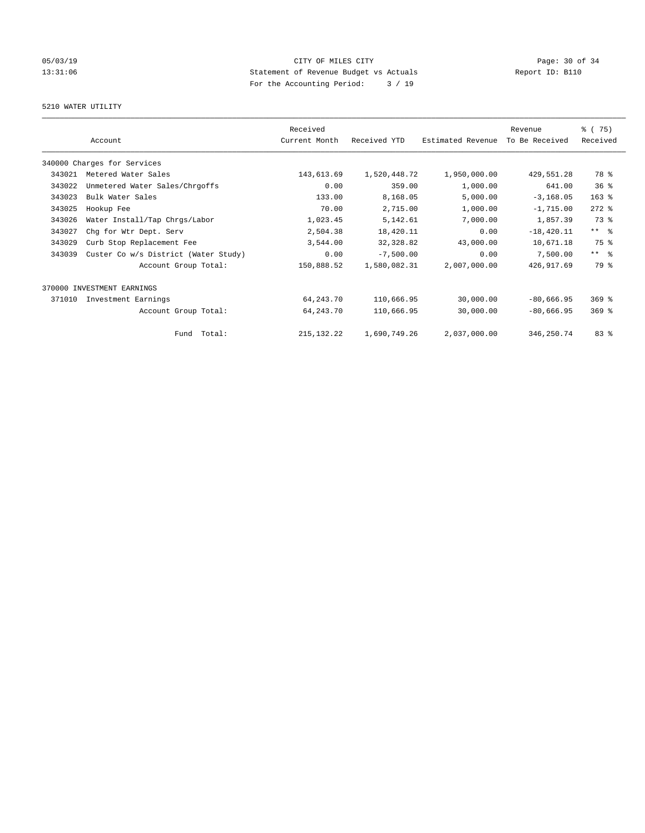# 05/03/19 Page: 30 of 34 13:31:06 Statement of Revenue Budget vs Actuals Report ID: B110 For the Accounting Period: 3 / 19

#### 5210 WATER UTILITY

|        |                                      | Received      |              |                   | Revenue        | % (75)              |
|--------|--------------------------------------|---------------|--------------|-------------------|----------------|---------------------|
|        | Account                              | Current Month | Received YTD | Estimated Revenue | To Be Received | Received            |
|        | 340000 Charges for Services          |               |              |                   |                |                     |
| 343021 | Metered Water Sales                  | 143,613.69    | 1,520,448.72 | 1,950,000.00      | 429,551.28     | 78 %                |
| 343022 | Unmetered Water Sales/Chrgoffs       | 0.00          | 359.00       | 1,000.00          | 641.00         | 36 <sup>8</sup>     |
| 343023 | Bulk Water Sales                     | 133.00        | 8,168.05     | 5,000.00          | $-3, 168.05$   | $163$ %             |
| 343025 | Hookup Fee                           | 70.00         | 2,715.00     | 1,000.00          | $-1,715.00$    | $272$ $%$           |
| 343026 | Water Install/Tap Chrgs/Labor        | 1,023.45      | 5,142.61     | 7,000.00          | 1,857.39       | 73 %                |
| 343027 | Chg for Wtr Dept. Serv               | 2,504.38      | 18,420.11    | 0.00              | $-18,420.11$   | $***$ $-$           |
| 343029 | Curb Stop Replacement Fee            | 3,544.00      | 32, 328.82   | 43,000.00         | 10,671.18      | 75 %                |
| 343039 | Custer Co w/s District (Water Study) | 0.00          | $-7,500.00$  | 0.00              | 7,500.00       | $***$ $\frac{6}{5}$ |
|        | Account Group Total:                 | 150,888.52    | 1,580,082.31 | 2,007,000.00      | 426, 917.69    | 79 %                |
|        | 370000 INVESTMENT EARNINGS           |               |              |                   |                |                     |
| 371010 | Investment Earnings                  | 64, 243. 70   | 110,666.95   | 30,000.00         | $-80,666.95$   | $369$ $%$           |
|        | Account Group Total:                 | 64, 243. 70   | 110,666.95   | 30,000.00         | $-80,666.95$   | $369$ $%$           |
|        | Fund Total:                          | 215, 132. 22  | 1,690,749.26 | 2,037,000.00      | 346, 250.74    | 83%                 |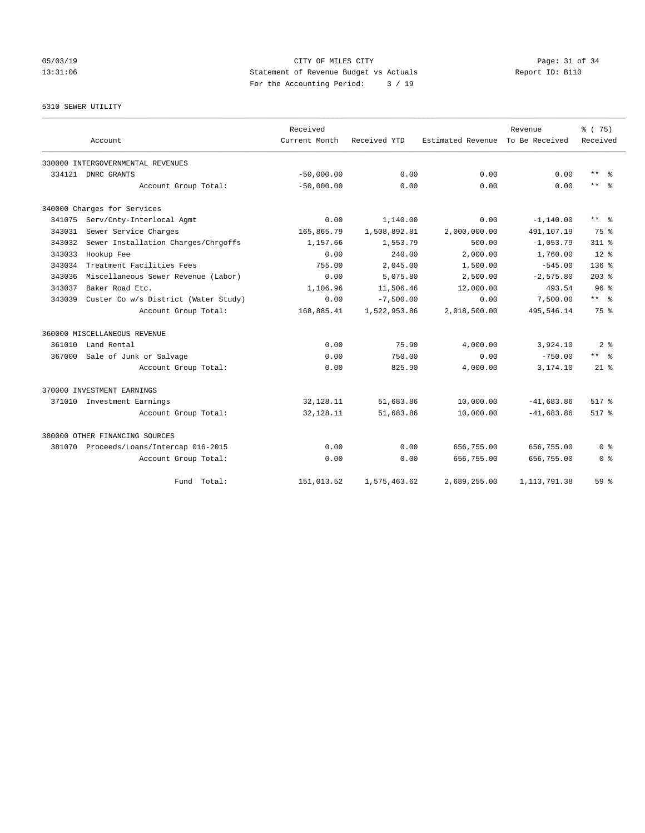# 05/03/19 Page: 31 of 34 13:31:06 Statement of Revenue Budget vs Actuals Report ID: B110 For the Accounting Period: 3 / 19

# 5310 SEWER UTILITY

|        |                                         | Received      |              |                   | Revenue        | % (75)                  |
|--------|-----------------------------------------|---------------|--------------|-------------------|----------------|-------------------------|
|        | Account                                 | Current Month | Received YTD | Estimated Revenue | To Be Received | Received                |
|        | 330000 INTERGOVERNMENTAL REVENUES       |               |              |                   |                |                         |
|        | 334121 DNRC GRANTS                      | $-50,000.00$  | 0.00         | 0.00              | 0.00           | $***$<br>- 응            |
|        | Account Group Total:                    | $-50,000.00$  | 0.00         | 0.00              | 0.00           | $***$ $-$               |
|        | 340000 Charges for Services             |               |              |                   |                |                         |
| 341075 | Serv/Cnty-Interlocal Agmt               | 0.00          | 1,140.00     | 0.00              | $-1, 140.00$   | $***$ $=$ $\frac{6}{5}$ |
| 343031 | Sewer Service Charges                   | 165,865.79    | 1,508,892.81 | 2,000,000.00      | 491,107.19     | 75 %                    |
| 343032 | Sewer Installation Charges/Chrgoffs     | 1,157.66      | 1,553.79     | 500.00            | $-1,053.79$    | $311$ $%$               |
| 343033 | Hookup Fee                              | 0.00          | 240.00       | 2,000.00          | 1,760.00       | $12*$                   |
| 343034 | Treatment Facilities Fees               | 755.00        | 2,045.00     | 1,500.00          | $-545.00$      | 136 <sub>8</sub>        |
| 343036 | Miscellaneous Sewer Revenue (Labor)     | 0.00          | 5,075.80     | 2,500.00          | $-2,575.80$    | $203$ $%$               |
| 343037 | Baker Road Etc.                         | 1,106.96      | 11,506.46    | 12,000.00         | 493.54         | 96 <sup>8</sup>         |
| 343039 | Custer Co w/s District (Water Study)    | 0.00          | $-7,500.00$  | 0.00              | 7,500.00       | $***$ $=$ $\frac{6}{5}$ |
|        | Account Group Total:                    | 168,885.41    | 1,522,953.86 | 2,018,500.00      | 495,546.14     | 75 %                    |
|        | 360000 MISCELLANEOUS REVENUE            |               |              |                   |                |                         |
| 361010 | Land Rental                             | 0.00          | 75.90        | 4,000.00          | 3,924.10       | 2 <sub>8</sub>          |
| 367000 | Sale of Junk or Salvage                 | 0.00          | 750.00       | 0.00              | $-750.00$      | ** *                    |
|        | Account Group Total:                    | 0.00          | 825.90       | 4,000.00          | 3,174.10       | $21*$                   |
|        | 370000 INVESTMENT EARNINGS              |               |              |                   |                |                         |
|        | 371010 Investment Earnings              | 32, 128. 11   | 51,683.86    | 10,000.00         | $-41,683.86$   | $517*$                  |
|        | Account Group Total:                    | 32,128.11     | 51,683.86    | 10,000.00         | $-41,683.86$   | 517 %                   |
|        | 380000 OTHER FINANCING SOURCES          |               |              |                   |                |                         |
|        | 381070 Proceeds/Loans/Intercap 016-2015 | 0.00          | 0.00         | 656,755.00        | 656,755.00     | 0 <sup>8</sup>          |
|        | Account Group Total:                    | 0.00          | 0.00         | 656,755.00        | 656,755.00     | 0 <sup>8</sup>          |
|        | Fund Total:                             | 151,013.52    | 1,575,463.62 | 2,689,255.00      | 1, 113, 791.38 | 59 <sup>8</sup>         |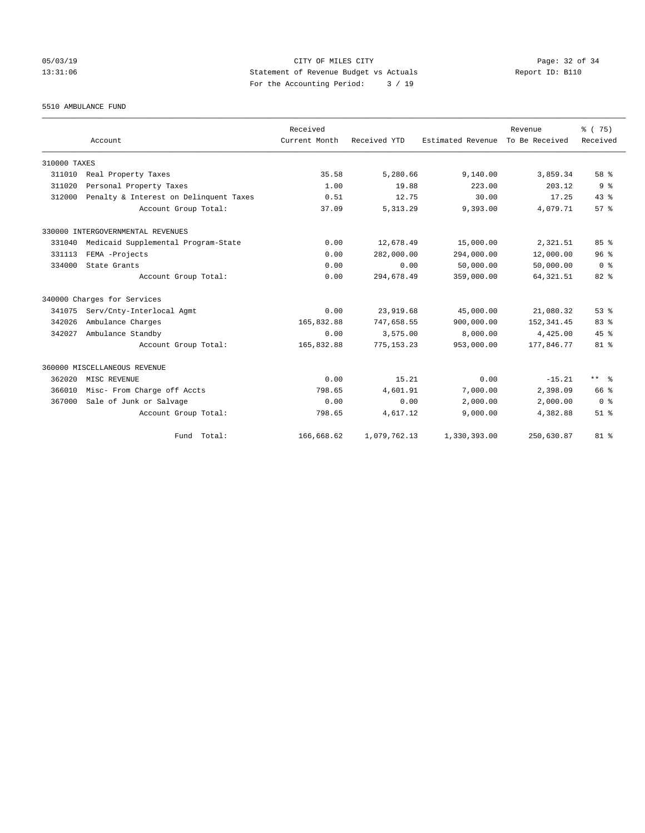# 05/03/19 Page: 32 of 34 13:31:06 Statement of Revenue Budget vs Actuals Report ID: B110 For the Accounting Period: 3 / 19

5510 AMBULANCE FUND

|              | Account                                | Received<br>Current Month | Received YTD | Estimated Revenue | Revenue<br>To Be Received | % (75)<br>Received |
|--------------|----------------------------------------|---------------------------|--------------|-------------------|---------------------------|--------------------|
| 310000 TAXES |                                        |                           |              |                   |                           |                    |
| 311010       | Real Property Taxes                    | 35.58                     | 5,280.66     | 9,140.00          | 3,859.34                  | 58 %               |
| 311020       | Personal Property Taxes                | 1.00                      | 19.88        | 223.00            | 203.12                    | 9 <sup>°</sup>     |
| 312000       | Penalty & Interest on Delinquent Taxes | 0.51                      | 12.75        | 30.00             | 17.25                     | 43.8               |
|              | Account Group Total:                   | 37.09                     | 5, 313.29    | 9,393.00          | 4,079.71                  | 57%                |
|              | 330000 INTERGOVERNMENTAL REVENUES      |                           |              |                   |                           |                    |
| 331040       | Medicaid Supplemental Program-State    | 0.00                      | 12,678.49    | 15,000.00         | 2,321.51                  | 85%                |
| 331113       | FEMA -Projects                         | 0.00                      | 282,000.00   | 294,000.00        | 12,000.00                 | 96 <sup>8</sup>    |
| 334000       | State Grants                           | 0.00                      | 0.00         | 50,000.00         | 50,000.00                 | 0 <sup>8</sup>     |
|              | Account Group Total:                   | 0.00                      | 294,678.49   | 359,000.00        | 64, 321.51                | $82*$              |
|              | 340000 Charges for Services            |                           |              |                   |                           |                    |
| 341075       | Serv/Cnty-Interlocal Agmt              | 0.00                      | 23,919.68    | 45,000.00         | 21,080.32                 | 53 <sup>8</sup>    |
| 342026       | Ambulance Charges                      | 165,832.88                | 747,658.55   | 900,000.00        | 152, 341.45               | 83%                |
| 342027       | Ambulance Standby                      | 0.00                      | 3,575.00     | 8,000.00          | 4,425.00                  | 45%                |
|              | Account Group Total:                   | 165,832.88                | 775, 153.23  | 953,000.00        | 177,846.77                | 81 <sup>°</sup>    |
|              | 360000 MISCELLANEOUS REVENUE           |                           |              |                   |                           |                    |
| 362020       | MISC REVENUE                           | 0.00                      | 15.21        | 0.00              | $-15.21$                  | $***$ $=$          |
| 366010       | Misc- From Charge off Accts            | 798.65                    | 4,601.91     | 7,000.00          | 2,398.09                  | 66 %               |
| 367000       | Sale of Junk or Salvage                | 0.00                      | 0.00         | 2,000.00          | 2,000.00                  | 0 <sup>8</sup>     |
|              | Account Group Total:                   | 798.65                    | 4,617.12     | 9,000.00          | 4,382.88                  | $51$ $%$           |
|              | Fund Total:                            | 166,668.62                | 1,079,762.13 | 1,330,393.00      | 250,630.87                | $81$ %             |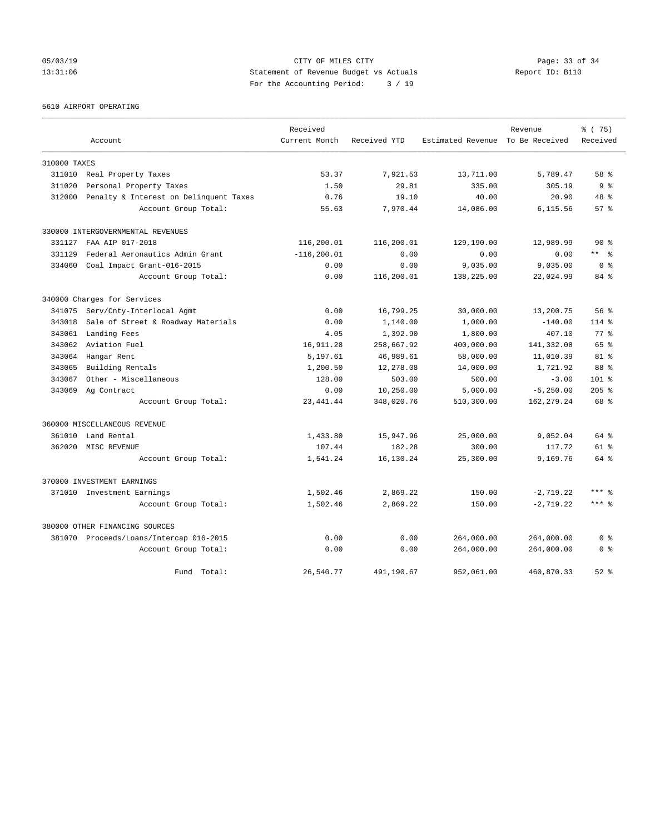# 05/03/19 Page: 33 of 34 13:31:06 Statement of Revenue Budget vs Actuals Report ID: B110 For the Accounting Period: 3 / 19

5610 AIRPORT OPERATING

|              |                                         | Received       |              |                                  | Revenue      | % (75)         |
|--------------|-----------------------------------------|----------------|--------------|----------------------------------|--------------|----------------|
|              | Account                                 | Current Month  | Received YTD | Estimated Revenue To Be Received |              | Received       |
| 310000 TAXES |                                         |                |              |                                  |              |                |
| 311010       | Real Property Taxes                     | 53.37          | 7,921.53     | 13,711.00                        | 5,789.47     | 58 %           |
| 311020       | Personal Property Taxes                 | 1.50           | 29.81        | 335.00                           | 305.19       | 9 <sup>8</sup> |
| 312000       | Penalty & Interest on Delinquent Taxes  | 0.76           | 19.10        | 40.00                            | 20.90        | 48 %           |
|              | Account Group Total:                    | 55.63          | 7,970.44     | 14,086.00                        | 6,115.56     | $57*$          |
|              | 330000 INTERGOVERNMENTAL REVENUES       |                |              |                                  |              |                |
| 331127       | FAA AIP 017-2018                        | 116,200.01     | 116,200.01   | 129,190.00                       | 12,989.99    | 90 ៖           |
| 331129       | Federal Aeronautics Admin Grant         | $-116, 200.01$ | 0.00         | 0.00                             | 0.00         | $***$ $ -$     |
| 334060       | Coal Impact Grant-016-2015              | 0.00           | 0.00         | 9,035.00                         | 9,035.00     | 0 <sup>8</sup> |
|              | Account Group Total:                    | 0.00           | 116,200.01   | 138,225.00                       | 22,024.99    | 84 %           |
|              | 340000 Charges for Services             |                |              |                                  |              |                |
| 341075       | Serv/Cnty-Interlocal Agmt               | 0.00           | 16,799.25    | 30,000.00                        | 13,200.75    | 56%            |
| 343018       | Sale of Street & Roadway Materials      | 0.00           | 1,140.00     | 1,000.00                         | $-140.00$    | $114$ %        |
| 343061       | Landing Fees                            | 4.05           | 1,392.90     | 1,800.00                         | 407.10       | $77$ $%$       |
| 343062       | Aviation Fuel                           | 16,911.28      | 258,667.92   | 400,000.00                       | 141,332.08   | 65 %           |
| 343064       | Hangar Rent                             | 5,197.61       | 46,989.61    | 58,000.00                        | 11,010.39    | $81$ %         |
| 343065       | Building Rentals                        | 1,200.50       | 12,278.08    | 14,000.00                        | 1,721.92     | 88 %           |
| 343067       | Other - Miscellaneous                   | 128.00         | 503.00       | 500.00                           | $-3.00$      | $101$ %        |
| 343069       | Ag Contract                             | 0.00           | 10,250.00    | 5,000.00                         | $-5, 250.00$ | $205$ %        |
|              | Account Group Total:                    | 23, 441.44     | 348,020.76   | 510,300.00                       | 162, 279. 24 | 68 %           |
|              | 360000 MISCELLANEOUS REVENUE            |                |              |                                  |              |                |
| 361010       | Land Rental                             | 1,433.80       | 15,947.96    | 25,000.00                        | 9,052.04     | 64 %           |
| 362020       | MISC REVENUE                            | 107.44         | 182.28       | 300.00                           | 117.72       | $61$ $%$       |
|              | Account Group Total:                    | 1,541.24       | 16,130.24    | 25,300.00                        | 9,169.76     | 64 %           |
|              | 370000 INVESTMENT EARNINGS              |                |              |                                  |              |                |
|              | 371010 Investment Earnings              | 1,502.46       | 2,869.22     | 150.00                           | $-2,719.22$  | $***$ $%$      |
|              | Account Group Total:                    | 1,502.46       | 2,869.22     | 150.00                           | $-2,719.22$  | $***$ %        |
|              | 380000 OTHER FINANCING SOURCES          |                |              |                                  |              |                |
|              | 381070 Proceeds/Loans/Intercap 016-2015 | 0.00           | 0.00         | 264,000.00                       | 264,000.00   | 0 <sup>8</sup> |
|              | Account Group Total:                    | 0.00           | 0.00         | 264,000.00                       | 264,000.00   | 0 <sup>8</sup> |
|              | Fund Total:                             | 26,540.77      | 491,190.67   | 952,061.00                       | 460,870.33   | $52$ $%$       |